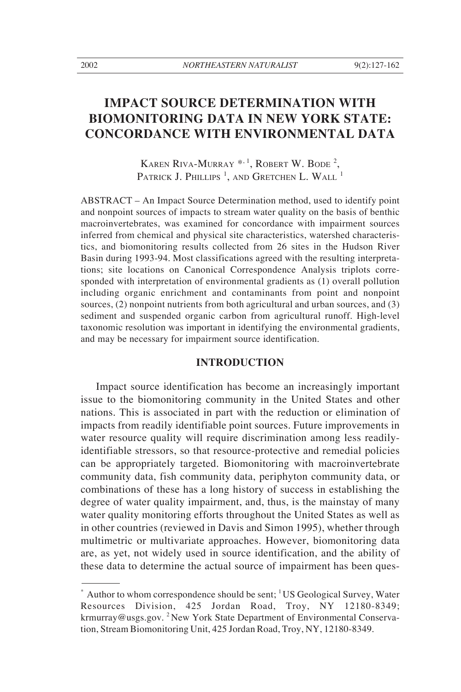# **IMPACT SOURCE DETERMINATION WITH BIOMONITORING DATA IN NEW YORK STATE: CONCORDANCE WITH ENVIRONMENTAL DATA**

Karen Riva-Murray  $^{*,1}$ , Robert W. Bode <sup>2</sup>, PATRICK J. PHILLIPS  $^1$ , and Gretchen L. Wall  $^1$ 

ABSTRACT – An Impact Source Determination method, used to identify point and nonpoint sources of impacts to stream water quality on the basis of benthic macroinvertebrates, was examined for concordance with impairment sources inferred from chemical and physical site characteristics, watershed characteristics, and biomonitoring results collected from 26 sites in the Hudson River Basin during 1993-94. Most classifications agreed with the resulting interpretations; site locations on Canonical Correspondence Analysis triplots corresponded with interpretation of environmental gradients as (1) overall pollution including organic enrichment and contaminants from point and nonpoint sources, (2) nonpoint nutrients from both agricultural and urban sources, and (3) sediment and suspended organic carbon from agricultural runoff. High-level taxonomic resolution was important in identifying the environmental gradients, and may be necessary for impairment source identification.

## **INTRODUCTION**

Impact source identification has become an increasingly important issue to the biomonitoring community in the United States and other nations. This is associated in part with the reduction or elimination of impacts from readily identifiable point sources. Future improvements in water resource quality will require discrimination among less readilyidentifiable stressors, so that resource-protective and remedial policies can be appropriately targeted. Biomonitoring with macroinvertebrate community data, fish community data, periphyton community data, or combinations of these has a long history of success in establishing the degree of water quality impairment, and, thus, is the mainstay of many water quality monitoring efforts throughout the United States as well as in other countries (reviewed in Davis and Simon 1995), whether through multimetric or multivariate approaches. However, biomonitoring data are, as yet, not widely used in source identification, and the ability of these data to determine the actual source of impairment has been ques-

 $*$  Author to whom correspondence should be sent; <sup>1</sup>US Geological Survey, Water Resources Division, 425 Jordan Road, Troy, NY 12180-8349; krmurray@usgs.gov. <sup>2</sup> New York State Department of Environmental Conservation, Stream Biomonitoring Unit, 425 Jordan Road, Troy, NY, 12180-8349.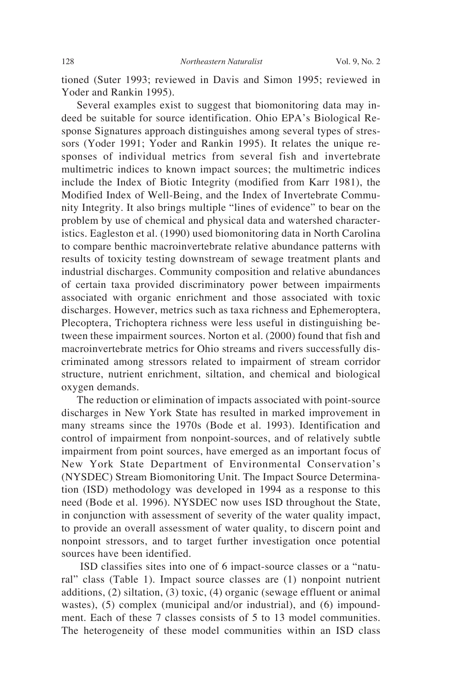tioned (Suter 1993; reviewed in Davis and Simon 1995; reviewed in Yoder and Rankin 1995).

Several examples exist to suggest that biomonitoring data may indeed be suitable for source identification. Ohio EPA's Biological Response Signatures approach distinguishes among several types of stressors (Yoder 1991; Yoder and Rankin 1995). It relates the unique responses of individual metrics from several fish and invertebrate multimetric indices to known impact sources; the multimetric indices include the Index of Biotic Integrity (modified from Karr 1981), the Modified Index of Well-Being, and the Index of Invertebrate Community Integrity. It also brings multiple "lines of evidence" to bear on the problem by use of chemical and physical data and watershed characteristics. Eagleston et al. (1990) used biomonitoring data in North Carolina to compare benthic macroinvertebrate relative abundance patterns with results of toxicity testing downstream of sewage treatment plants and industrial discharges. Community composition and relative abundances of certain taxa provided discriminatory power between impairments associated with organic enrichment and those associated with toxic discharges. However, metrics such as taxa richness and Ephemeroptera, Plecoptera, Trichoptera richness were less useful in distinguishing between these impairment sources. Norton et al. (2000) found that fish and macroinvertebrate metrics for Ohio streams and rivers successfully discriminated among stressors related to impairment of stream corridor structure, nutrient enrichment, siltation, and chemical and biological oxygen demands.

The reduction or elimination of impacts associated with point-source discharges in New York State has resulted in marked improvement in many streams since the 1970s (Bode et al. 1993). Identification and control of impairment from nonpoint-sources, and of relatively subtle impairment from point sources, have emerged as an important focus of New York State Department of Environmental Conservation's (NYSDEC) Stream Biomonitoring Unit. The Impact Source Determination (ISD) methodology was developed in 1994 as a response to this need (Bode et al. 1996). NYSDEC now uses ISD throughout the State, in conjunction with assessment of severity of the water quality impact, to provide an overall assessment of water quality, to discern point and nonpoint stressors, and to target further investigation once potential sources have been identified.

ISD classifies sites into one of 6 impact-source classes or a "natural" class (Table 1). Impact source classes are (1) nonpoint nutrient additions, (2) siltation, (3) toxic, (4) organic (sewage effluent or animal wastes), (5) complex (municipal and/or industrial), and (6) impoundment. Each of these 7 classes consists of 5 to 13 model communities. The heterogeneity of these model communities within an ISD class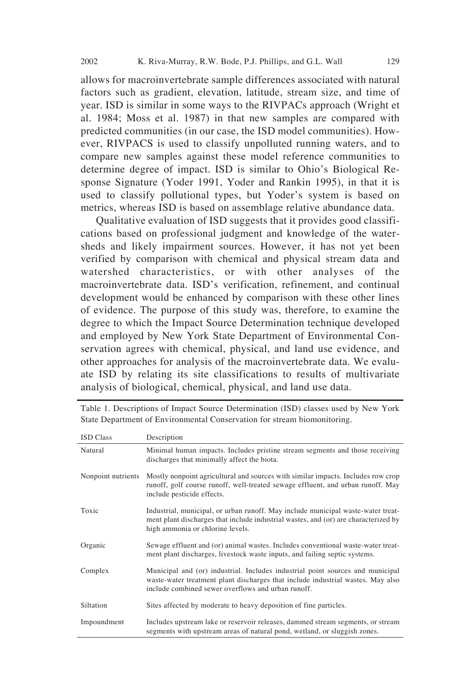allows for macroinvertebrate sample differences associated with natural factors such as gradient, elevation, latitude, stream size, and time of year. ISD is similar in some ways to the RIVPACs approach (Wright et al. 1984; Moss et al. 1987) in that new samples are compared with predicted communities (in our case, the ISD model communities). However, RIVPACS is used to classify unpolluted running waters, and to compare new samples against these model reference communities to determine degree of impact. ISD is similar to Ohio's Biological Response Signature (Yoder 1991, Yoder and Rankin 1995), in that it is used to classify pollutional types, but Yoder's system is based on metrics, whereas ISD is based on assemblage relative abundance data.

Qualitative evaluation of ISD suggests that it provides good classifications based on professional judgment and knowledge of the watersheds and likely impairment sources. However, it has not yet been verified by comparison with chemical and physical stream data and watershed characteristics, or with other analyses of the macroinvertebrate data. ISD's verification, refinement, and continual development would be enhanced by comparison with these other lines of evidence. The purpose of this study was, therefore, to examine the degree to which the Impact Source Determination technique developed and employed by New York State Department of Environmental Conservation agrees with chemical, physical, and land use evidence, and other approaches for analysis of the macroinvertebrate data. We evaluate ISD by relating its site classifications to results of multivariate analysis of biological, chemical, physical, and land use data.

| <b>ISD</b> Class   | Description                                                                                                                                                                                                             |
|--------------------|-------------------------------------------------------------------------------------------------------------------------------------------------------------------------------------------------------------------------|
| Natural            | Minimal human impacts. Includes pristine stream segments and those receiving<br>discharges that minimally affect the biota.                                                                                             |
| Nonpoint nutrients | Mostly nonpoint agricultural and sources with similar impacts. Includes row crop<br>runoff, golf course runoff, well-treated sewage effluent, and urban runoff. May<br>include pesticide effects.                       |
| Toxic              | Industrial, municipal, or urban runoff. May include municipal waste-water treat-<br>ment plant discharges that include industrial wastes, and (or) are characterized by<br>high ammonia or chlorine levels.             |
| Organic            | Sewage effluent and (or) animal wastes. Includes conventional waste-water treat-<br>ment plant discharges, livestock waste inputs, and failing septic systems.                                                          |
| Complex            | Municipal and (or) industrial. Includes industrial point sources and municipal<br>waste-water treatment plant discharges that include industrial wastes. May also<br>include combined sewer overflows and urban runoff. |
| Siltation          | Sites affected by moderate to heavy deposition of fine particles.                                                                                                                                                       |
| Impoundment        | Includes upstream lake or reservoir releases, dammed stream segments, or stream<br>segments with upstream areas of natural pond, wetland, or sluggish zones.                                                            |

Table 1. Descriptions of Impact Source Determination (ISD) classes used by New York State Department of Environmental Conservation for stream biomonitoring.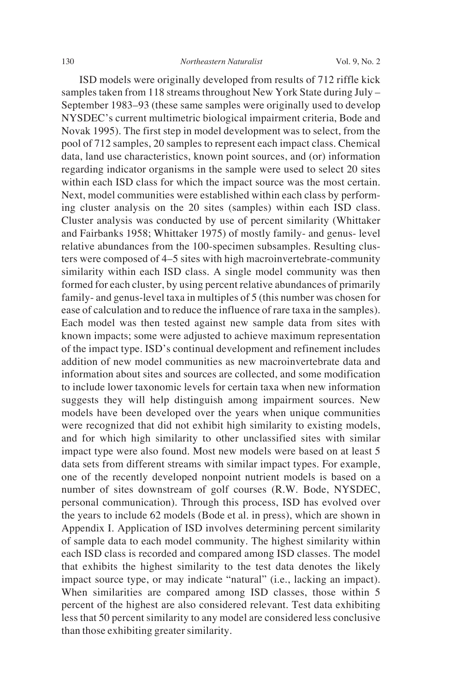ISD models were originally developed from results of 712 riffle kick samples taken from 118 streams throughout New York State during July – September 1983–93 (these same samples were originally used to develop NYSDEC's current multimetric biological impairment criteria, Bode and Novak 1995). The first step in model development was to select, from the pool of 712 samples, 20 samples to represent each impact class. Chemical data, land use characteristics, known point sources, and (or) information regarding indicator organisms in the sample were used to select 20 sites within each ISD class for which the impact source was the most certain. Next, model communities were established within each class by performing cluster analysis on the 20 sites (samples) within each ISD class. Cluster analysis was conducted by use of percent similarity (Whittaker and Fairbanks 1958; Whittaker 1975) of mostly family- and genus- level relative abundances from the 100-specimen subsamples. Resulting clusters were composed of 4–5 sites with high macroinvertebrate-community similarity within each ISD class. A single model community was then formed for each cluster, by using percent relative abundances of primarily family- and genus-level taxa in multiples of 5 (this number was chosen for ease of calculation and to reduce the influence of rare taxa in the samples). Each model was then tested against new sample data from sites with known impacts; some were adjusted to achieve maximum representation of the impact type. ISD's continual development and refinement includes addition of new model communities as new macroinvertebrate data and information about sites and sources are collected, and some modification to include lower taxonomic levels for certain taxa when new information suggests they will help distinguish among impairment sources. New models have been developed over the years when unique communities were recognized that did not exhibit high similarity to existing models, and for which high similarity to other unclassified sites with similar impact type were also found. Most new models were based on at least 5 data sets from different streams with similar impact types. For example, one of the recently developed nonpoint nutrient models is based on a number of sites downstream of golf courses (R.W. Bode, NYSDEC, personal communication). Through this process, ISD has evolved over the years to include 62 models (Bode et al. in press), which are shown in Appendix I. Application of ISD involves determining percent similarity of sample data to each model community. The highest similarity within each ISD class is recorded and compared among ISD classes. The model that exhibits the highest similarity to the test data denotes the likely impact source type, or may indicate "natural" (i.e., lacking an impact). When similarities are compared among ISD classes, those within 5 percent of the highest are also considered relevant. Test data exhibiting less that 50 percent similarity to any model are considered less conclusive than those exhibiting greater similarity.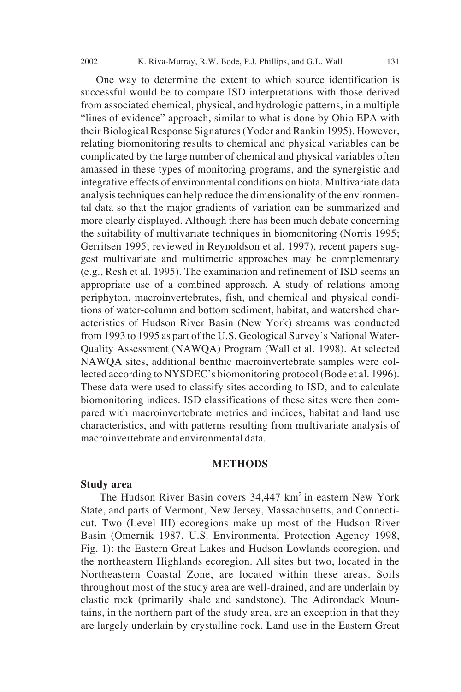One way to determine the extent to which source identification is successful would be to compare ISD interpretations with those derived from associated chemical, physical, and hydrologic patterns, in a multiple "lines of evidence" approach, similar to what is done by Ohio EPA with their Biological Response Signatures (Yoder and Rankin 1995). However, relating biomonitoring results to chemical and physical variables can be complicated by the large number of chemical and physical variables often amassed in these types of monitoring programs, and the synergistic and integrative effects of environmental conditions on biota. Multivariate data analysis techniques can help reduce the dimensionality of the environmental data so that the major gradients of variation can be summarized and more clearly displayed. Although there has been much debate concerning the suitability of multivariate techniques in biomonitoring (Norris 1995; Gerritsen 1995; reviewed in Reynoldson et al. 1997), recent papers suggest multivariate and multimetric approaches may be complementary (e.g., Resh et al. 1995). The examination and refinement of ISD seems an appropriate use of a combined approach. A study of relations among periphyton, macroinvertebrates, fish, and chemical and physical conditions of water-column and bottom sediment, habitat, and watershed characteristics of Hudson River Basin (New York) streams was conducted from 1993 to 1995 as part of the U.S. Geological Survey's National Water-Quality Assessment (NAWQA) Program (Wall et al. 1998). At selected NAWQA sites, additional benthic macroinvertebrate samples were collected according to NYSDEC's biomonitoring protocol (Bode et al. 1996). These data were used to classify sites according to ISD, and to calculate biomonitoring indices. ISD classifications of these sites were then compared with macroinvertebrate metrics and indices, habitat and land use characteristics, and with patterns resulting from multivariate analysis of macroinvertebrate and environmental data.

#### **METHODS**

# **Study area**

The Hudson River Basin covers 34.447 km<sup>2</sup> in eastern New York State, and parts of Vermont, New Jersey, Massachusetts, and Connecticut. Two (Level III) ecoregions make up most of the Hudson River Basin (Omernik 1987, U.S. Environmental Protection Agency 1998, Fig. 1): the Eastern Great Lakes and Hudson Lowlands ecoregion, and the northeastern Highlands ecoregion. All sites but two, located in the Northeastern Coastal Zone, are located within these areas. Soils throughout most of the study area are well-drained, and are underlain by clastic rock (primarily shale and sandstone). The Adirondack Mountains, in the northern part of the study area, are an exception in that they are largely underlain by crystalline rock. Land use in the Eastern Great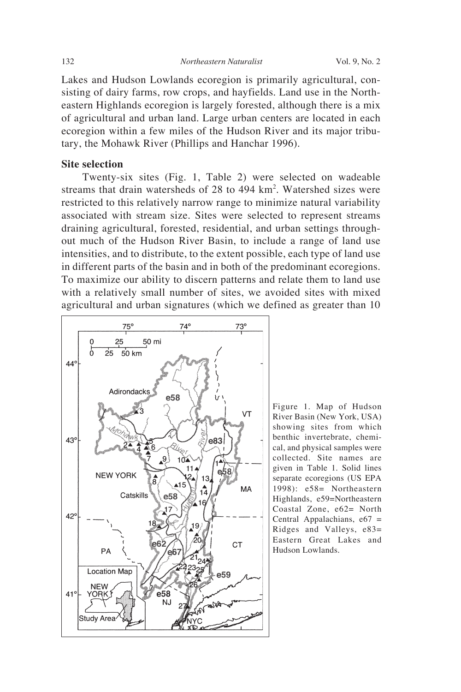Lakes and Hudson Lowlands ecoregion is primarily agricultural, consisting of dairy farms, row crops, and hayfields. Land use in the Northeastern Highlands ecoregion is largely forested, although there is a mix of agricultural and urban land. Large urban centers are located in each ecoregion within a few miles of the Hudson River and its major tributary, the Mohawk River (Phillips and Hanchar 1996).

# **Site selection**

Twenty-six sites (Fig. 1, Table 2) were selected on wadeable streams that drain watersheds of 28 to 494 km<sup>2</sup>. Watershed sizes were restricted to this relatively narrow range to minimize natural variability associated with stream size. Sites were selected to represent streams draining agricultural, forested, residential, and urban settings throughout much of the Hudson River Basin, to include a range of land use intensities, and to distribute, to the extent possible, each type of land use in different parts of the basin and in both of the predominant ecoregions. To maximize our ability to discern patterns and relate them to land use with a relatively small number of sites, we avoided sites with mixed agricultural and urban signatures (which we defined as greater than 10



Figure 1. Map of Hudson River Basin (New York, USA) showing sites from which benthic invertebrate, chemical, and physical samples were collected. Site names are given in Table 1. Solid lines separate ecoregions (US EPA 1998): e58= Northeastern Highlands, e59=Northeastern Coastal Zone, e62= North Central Appalachians,  $e67 =$ Ridges and Valleys, e83= Eastern Great Lakes and Hudson Lowlands.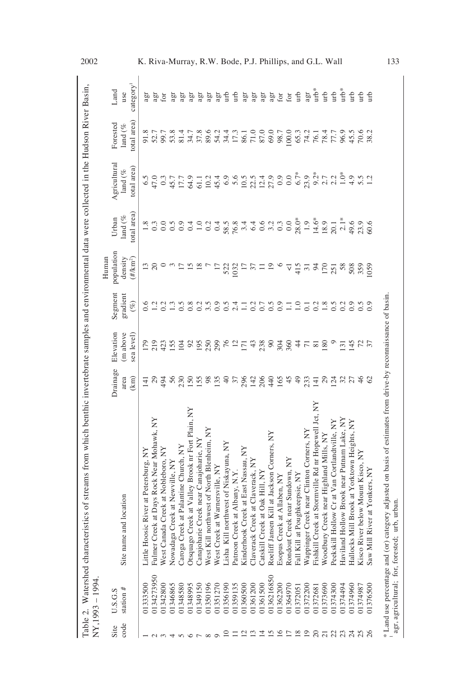|                     | NY 1993 - 1994         | Table 2. Watershed characteristics of streams from which benthic invertebrate samples and environmental data were collected in the Hudson River Basin,        |                  |                             |                     | Human                         |                                                                                                                                                                                                                                                                                                                      |                                                                                              |                                                             |                       |  |
|---------------------|------------------------|---------------------------------------------------------------------------------------------------------------------------------------------------------------|------------------|-----------------------------|---------------------|-------------------------------|----------------------------------------------------------------------------------------------------------------------------------------------------------------------------------------------------------------------------------------------------------------------------------------------------------------------|----------------------------------------------------------------------------------------------|-------------------------------------------------------------|-----------------------|--|
| code<br>Site        | station $#$<br>U.S.G.S | Site name and location                                                                                                                                        | Drainage<br>area | Elevation<br>(m above       | Segment<br>gradient | population<br>density         | land (% $\%$<br>Urban                                                                                                                                                                                                                                                                                                | Agricultural<br>land (%                                                                      | Forested<br>land (%                                         | Land<br>use           |  |
|                     |                        |                                                                                                                                                               | (km)             | sea level)                  | $(\%)$              | $\frac{f}{f}$ km <sup>2</sup> | total area)                                                                                                                                                                                                                                                                                                          | otal area)                                                                                   | otal area)                                                  | category <sup>1</sup> |  |
|                     | 01333500               | Hoosic River at Petersburg, NY<br>Little                                                                                                                      | $\overline{41}$  | <b>PLI</b>                  |                     | $\overline{13}$               |                                                                                                                                                                                                                                                                                                                      |                                                                                              |                                                             | agr                   |  |
|                     | 0134273950             | Fulmer Creek at Days Rock Near Mohawk, NY                                                                                                                     | $^{29}$          | 219                         |                     | $\overline{c}$                |                                                                                                                                                                                                                                                                                                                      | 47.0                                                                                         | 52.7                                                        | āу                    |  |
|                     | 01342800               | ž<br>Canada Creek at Nobleboro,<br>West C                                                                                                                     | 494              | 423                         |                     | $\circ$                       | 0.0                                                                                                                                                                                                                                                                                                                  | 0.3                                                                                          | 99.7                                                        | for                   |  |
|                     | 01346865               | Nowadaga Creek at Newville, NY                                                                                                                                | 56               | <b>iS5</b>                  |                     |                               | 0.5                                                                                                                                                                                                                                                                                                                  | 45.7                                                                                         | 53.8                                                        | agr                   |  |
|                     | 01348580               | Caroga Creek at Palantine Church, NY                                                                                                                          | 230              | 104                         | 0.5                 |                               | 0.9                                                                                                                                                                                                                                                                                                                  | 17.7                                                                                         | 81.4                                                        | ā                     |  |
|                     | 01348995               | 1go Creek at Valley Brook nr Fort Plain, NY<br>Otsqua                                                                                                         | <b>SO</b>        | $\overline{6}$              | 0.8                 | $\overline{15}$               | 0.4                                                                                                                                                                                                                                                                                                                  | 64.9                                                                                         | 34.7                                                        | āgr                   |  |
|                     | 01349150               | Canajoharie Creek near Canajoharie, NY                                                                                                                        | 155              | 195                         |                     |                               | $\overline{1.0}$                                                                                                                                                                                                                                                                                                     | 61.1                                                                                         | 37.8                                                        | ā                     |  |
| $\infty$            | 01350196               | Kill northwest of North Blenheim, NY<br>West 1                                                                                                                | 98               | 250                         |                     |                               | 0.2                                                                                                                                                                                                                                                                                                                  | 10.2                                                                                         | 89.6                                                        | ā                     |  |
| $\circ$             | 01351270               | West Creek at Warnersville, NY                                                                                                                                | 135              | 299                         | 0.9                 |                               | 0.4                                                                                                                                                                                                                                                                                                                  |                                                                                              | 54.4<br>34.4                                                | Įв                    |  |
|                     | 01356190               | Kill northwest of Niskayuna, NY<br>Lisha                                                                                                                      | $\Theta$         |                             | 0.5                 | 522                           |                                                                                                                                                                                                                                                                                                                      |                                                                                              |                                                             | furb                  |  |
| 2 H 2 1 1 1 2 2 L   | 01359135               | Patroon Creek at Albany, N.Y                                                                                                                                  | 57               | 72748                       | 2.4                 | 1032                          | 8844623<br>8665662                                                                                                                                                                                                                                                                                                   |                                                                                              | $\begin{array}{c} 17.3 \\ 86.1 \\ 71.0 \\ 87.0 \end{array}$ | Ê                     |  |
|                     | 01360500               | Kinderhook Creek at East Nassau, NY                                                                                                                           | 296              |                             | $\Xi$               |                               |                                                                                                                                                                                                                                                                                                                      |                                                                                              |                                                             | agr                   |  |
|                     | 01361200               | Claverack Creek at Claverack, NY                                                                                                                              | $\frac{42}{5}$   |                             | 0.2                 | 222                           |                                                                                                                                                                                                                                                                                                                      |                                                                                              |                                                             | agr                   |  |
|                     | 01361500               | Catskill Creek at Oak Hill, NY                                                                                                                                | 206              |                             | 0.7                 |                               |                                                                                                                                                                                                                                                                                                                      |                                                                                              |                                                             | agr                   |  |
|                     | 0136216850             | Roeliff Jansen Kill at Jackson Corners, NY                                                                                                                    | 440              | $^{90}$                     | 0.5                 | $\overline{19}$               |                                                                                                                                                                                                                                                                                                                      |                                                                                              | 69.0                                                        |                       |  |
|                     | 01362200               | Esopus Creek at Allaben, NY                                                                                                                                   | 165              | 304                         | 0.9                 | $\circ$                       |                                                                                                                                                                                                                                                                                                                      |                                                                                              | 98.7                                                        | agr<br>for            |  |
|                     | 01364970               | ž<br>Rondout Creek near Sundown,                                                                                                                              | 45               | 360                         | Ξ                   | $\overline{\vee}$             | 0.0                                                                                                                                                                                                                                                                                                                  | 0.0                                                                                          | 100.0                                                       | for                   |  |
|                     | 0137205                | Fall Kill at Poughkeepsie, NY                                                                                                                                 | $\frac{1}{2}$    |                             | $\overline{1.0}$    | 415                           |                                                                                                                                                                                                                                                                                                                      | $6.7*$                                                                                       | 65.3                                                        | th                    |  |
|                     | 01372200               | Wappinger Creek near Clinton Corners, NY                                                                                                                      | 233              | $\frac{4}{5}$ $\frac{6}{5}$ | $\overline{0}$ .    |                               |                                                                                                                                                                                                                                                                                                                      | 23.9                                                                                         | 74.2                                                        | agr                   |  |
|                     | 0137268                | Fishkill Creek at Stormville Rd nr Hopewell Jct, NY                                                                                                           | $\overline{41}$  |                             | 0.2                 |                               |                                                                                                                                                                                                                                                                                                                      |                                                                                              | 76.1                                                        | $urb*$                |  |
|                     | 01373690               | Woodbury Creek near Highland Mills, NY                                                                                                                        | 29               | 180                         | 1.8                 |                               |                                                                                                                                                                                                                                                                                                                      |                                                                                              |                                                             | th                    |  |
|                     | 01374300               | Peekskill Hollow Cr at Van Cortlandtville, NY                                                                                                                 |                  |                             | 0.5                 | 33508                         |                                                                                                                                                                                                                                                                                                                      | $\begin{array}{c}\n 2 * \\  2 * \\  1 * \\  2 * \\  3 * \\  4 * \\  5 * \\  6\n \end{array}$ |                                                             | th                    |  |
| e a a a a a a a a a | 01374494               | Haviland Hollow Brook near Putnam Lake, NY                                                                                                                    | $\frac{54}{25}$  | $\overline{131}$            | 0.2                 |                               | $28.9$<br>$\begin{array}{cccc}\n3.9 & 0.9 & 0.01 \\ -1 & 0.9 & 0.01 \\ -1 & 0.9 & 0.01 \\ -1 & 0.9 & 0.01 \\ -1 & 0.9 & 0.01 \\ -1 & 0.9 & 0.01 \\ -1 & 0.9 & 0.01 \\ -1 & 0.9 & 0.01 \\ -1 & 0.9 & 0.01 \\ -1 & 0.9 & 0.01 \\ -1 & 0.9 & 0.01 \\ -1 & 0.9 & 0.01 \\ -1 & 0.9 & 0.01 \\ -1 & 0.9 & 0.01 \\ -1 & 0.9$ |                                                                                              | 878<br>888<br>888                                           | $urb*$                |  |
|                     | 01374960               | ks Mill Brook at Yorktown Heights, NY<br>Halloc                                                                                                               |                  | 145                         |                     | 508                           |                                                                                                                                                                                                                                                                                                                      | 4.9                                                                                          |                                                             | urb                   |  |
|                     | 1374987                | Kisco River below Mount Kisco, NY                                                                                                                             |                  | 72                          |                     | 359                           |                                                                                                                                                                                                                                                                                                                      | 5.3                                                                                          |                                                             | urb                   |  |
|                     | 01376500               | Saw Mill River at Yonkers, NY                                                                                                                                 | $\mathcal{S}$    |                             |                     | 059                           |                                                                                                                                                                                                                                                                                                                      |                                                                                              | 38.2                                                        | Ê                     |  |
|                     |                        | * Land use percentage and (or) category adjusted on basis of estimates from drive-by reconnaissance of basin<br>agr, agricultural; for, forested; urb, urban. |                  |                             |                     |                               |                                                                                                                                                                                                                                                                                                                      |                                                                                              |                                                             |                       |  |
|                     |                        |                                                                                                                                                               |                  |                             |                     |                               |                                                                                                                                                                                                                                                                                                                      |                                                                                              |                                                             |                       |  |

2002 K. Riva-Murray, R.W. Bode, P.J. Phillips, and G.L. Wall 133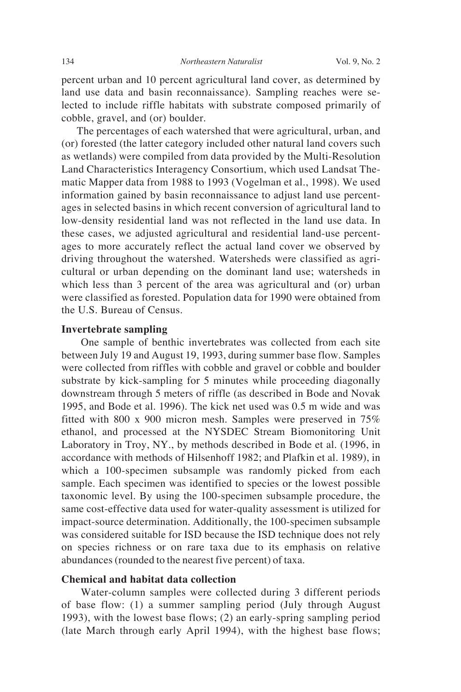percent urban and 10 percent agricultural land cover, as determined by land use data and basin reconnaissance). Sampling reaches were selected to include riffle habitats with substrate composed primarily of cobble, gravel, and (or) boulder.

The percentages of each watershed that were agricultural, urban, and (or) forested (the latter category included other natural land covers such as wetlands) were compiled from data provided by the Multi-Resolution Land Characteristics Interagency Consortium, which used Landsat Thematic Mapper data from 1988 to 1993 (Vogelman et al., 1998). We used information gained by basin reconnaissance to adjust land use percentages in selected basins in which recent conversion of agricultural land to low-density residential land was not reflected in the land use data. In these cases, we adjusted agricultural and residential land-use percentages to more accurately reflect the actual land cover we observed by driving throughout the watershed. Watersheds were classified as agricultural or urban depending on the dominant land use; watersheds in which less than 3 percent of the area was agricultural and (or) urban were classified as forested. Population data for 1990 were obtained from the U.S. Bureau of Census.

# **Invertebrate sampling**

One sample of benthic invertebrates was collected from each site between July 19 and August 19, 1993, during summer base flow. Samples were collected from riffles with cobble and gravel or cobble and boulder substrate by kick-sampling for 5 minutes while proceeding diagonally downstream through 5 meters of riffle (as described in Bode and Novak 1995, and Bode et al. 1996). The kick net used was 0.5 m wide and was fitted with 800 x 900 micron mesh. Samples were preserved in 75% ethanol, and processed at the NYSDEC Stream Biomonitoring Unit Laboratory in Troy, NY., by methods described in Bode et al. (1996, in accordance with methods of Hilsenhoff 1982; and Plafkin et al. 1989), in which a 100-specimen subsample was randomly picked from each sample. Each specimen was identified to species or the lowest possible taxonomic level. By using the 100-specimen subsample procedure, the same cost-effective data used for water-quality assessment is utilized for impact-source determination. Additionally, the 100-specimen subsample was considered suitable for ISD because the ISD technique does not rely on species richness or on rare taxa due to its emphasis on relative abundances (rounded to the nearest five percent) of taxa.

## **Chemical and habitat data collection**

Water-column samples were collected during 3 different periods of base flow: (1) a summer sampling period (July through August 1993), with the lowest base flows; (2) an early-spring sampling period (late March through early April 1994), with the highest base flows;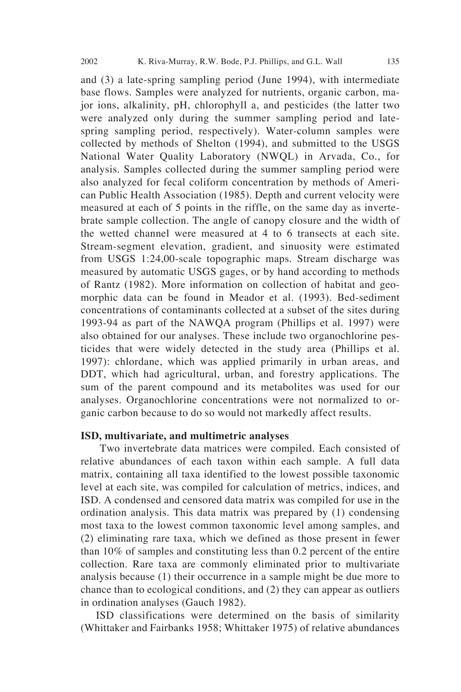and (3) a late-spring sampling period (June 1994), with intermediate base flows. Samples were analyzed for nutrients, organic carbon, major ions, alkalinity, pH, chlorophyll a, and pesticides (the latter two were analyzed only during the summer sampling period and latespring sampling period, respectively). Water-column samples were collected by methods of Shelton (1994), and submitted to the USGS National Water Quality Laboratory (NWQL) in Arvada, Co., for analysis. Samples collected during the summer sampling period were also analyzed for fecal coliform concentration by methods of American Public Health Association (1985). Depth and current velocity were measured at each of 5 points in the riffle, on the same day as invertebrate sample collection. The angle of canopy closure and the width of the wetted channel were measured at 4 to 6 transects at each site. Stream-segment elevation, gradient, and sinuosity were estimated from USGS 1:24,00-scale topographic maps. Stream discharge was measured by automatic USGS gages, or by hand according to methods of Rantz (1982). More information on collection of habitat and geomorphic data can be found in Meador et al. (1993). Bed-sediment concentrations of contaminants collected at a subset of the sites during 1993-94 as part of the NAWQA program (Phillips et al. 1997) were also obtained for our analyses. These include two organochlorine pesticides that were widely detected in the study area (Phillips et al. 1997): chlordane, which was applied primarily in urban areas, and DDT, which had agricultural, urban, and forestry applications. The sum of the parent compound and its metabolites was used for our analyses. Organochlorine concentrations were not normalized to organic carbon because to do so would not markedly affect results.

#### **ISD, multivariate, and multimetric analyses**

Two invertebrate data matrices were compiled. Each consisted of relative abundances of each taxon within each sample. A full data matrix, containing all taxa identified to the lowest possible taxonomic level at each site, was compiled for calculation of metrics, indices, and ISD. A condensed and censored data matrix was compiled for use in the ordination analysis. This data matrix was prepared by (1) condensing most taxa to the lowest common taxonomic level among samples, and (2) eliminating rare taxa, which we defined as those present in fewer than 10% of samples and constituting less than 0.2 percent of the entire collection. Rare taxa are commonly eliminated prior to multivariate analysis because (1) their occurrence in a sample might be due more to chance than to ecological conditions, and (2) they can appear as outliers in ordination analyses (Gauch 1982).

ISD classifications were determined on the basis of similarity (Whittaker and Fairbanks 1958; Whittaker 1975) of relative abundances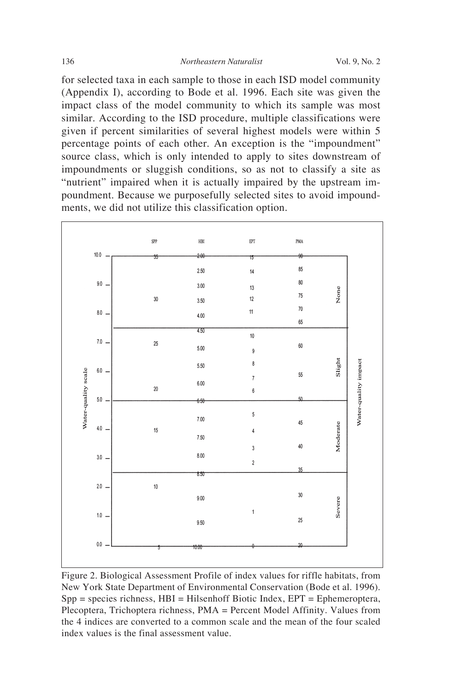for selected taxa in each sample to those in each ISD model community (Appendix I), according to Bode et al. 1996. Each site was given the impact class of the model community to which its sample was most similar. According to the ISD procedure, multiple classifications were given if percent similarities of several highest models were within 5 percentage points of each other. An exception is the "impoundment" source class, which is only intended to apply to sites downstream of impoundments or sluggish conditions, so as not to classify a site as "nutrient" impaired when it is actually impaired by the upstream impoundment. Because we purposefully selected sites to avoid impoundments, we did not utilize this classification option.



Figure 2. Biological Assessment Profile of index values for riffle habitats, from New York State Department of Environmental Conservation (Bode et al. 1996).  $Spp =$  species richness, HBI = Hilsenhoff Biotic Index,  $EPT =$  Ephemeroptera, Plecoptera, Trichoptera richness, PMA = Percent Model Affinity. Values from the 4 indices are converted to a common scale and the mean of the four scaled index values is the final assessment value.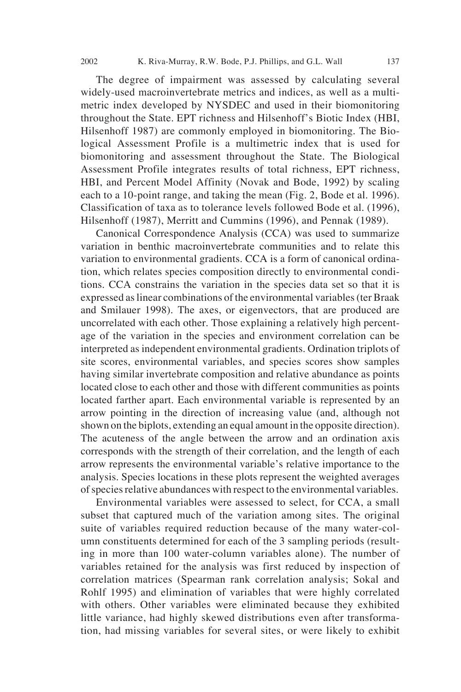The degree of impairment was assessed by calculating several widely-used macroinvertebrate metrics and indices, as well as a multimetric index developed by NYSDEC and used in their biomonitoring throughout the State. EPT richness and Hilsenhoff's Biotic Index (HBI, Hilsenhoff 1987) are commonly employed in biomonitoring. The Biological Assessment Profile is a multimetric index that is used for biomonitoring and assessment throughout the State. The Biological Assessment Profile integrates results of total richness, EPT richness, HBI, and Percent Model Affinity (Novak and Bode, 1992) by scaling each to a 10-point range, and taking the mean (Fig. 2, Bode et al. 1996). Classification of taxa as to tolerance levels followed Bode et al. (1996), Hilsenhoff (1987), Merritt and Cummins (1996), and Pennak (1989).

Canonical Correspondence Analysis (CCA) was used to summarize variation in benthic macroinvertebrate communities and to relate this variation to environmental gradients. CCA is a form of canonical ordination, which relates species composition directly to environmental conditions. CCA constrains the variation in the species data set so that it is expressed as linear combinations of the environmental variables (ter Braak and Smilauer 1998). The axes, or eigenvectors, that are produced are uncorrelated with each other. Those explaining a relatively high percentage of the variation in the species and environment correlation can be interpreted as independent environmental gradients. Ordination triplots of site scores, environmental variables, and species scores show samples having similar invertebrate composition and relative abundance as points located close to each other and those with different communities as points located farther apart. Each environmental variable is represented by an arrow pointing in the direction of increasing value (and, although not shown on the biplots, extending an equal amount in the opposite direction). The acuteness of the angle between the arrow and an ordination axis corresponds with the strength of their correlation, and the length of each arrow represents the environmental variable's relative importance to the analysis. Species locations in these plots represent the weighted averages of species relative abundances with respect to the environmental variables.

Environmental variables were assessed to select, for CCA, a small subset that captured much of the variation among sites. The original suite of variables required reduction because of the many water-column constituents determined for each of the 3 sampling periods (resulting in more than 100 water-column variables alone). The number of variables retained for the analysis was first reduced by inspection of correlation matrices (Spearman rank correlation analysis; Sokal and Rohlf 1995) and elimination of variables that were highly correlated with others. Other variables were eliminated because they exhibited little variance, had highly skewed distributions even after transformation, had missing variables for several sites, or were likely to exhibit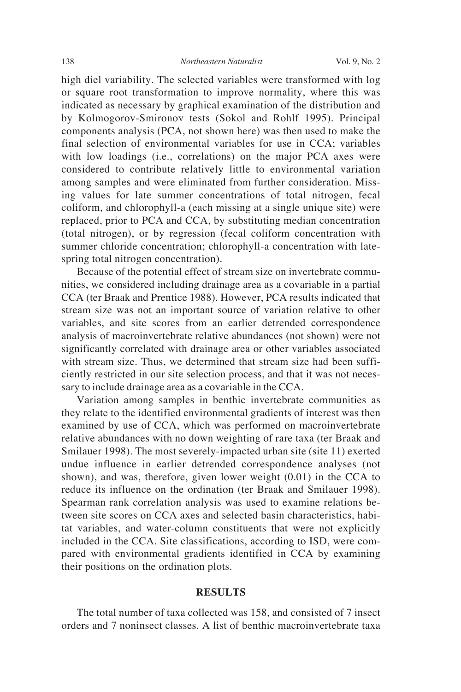#### 138 *Northeastern Naturalist* Vol. 9, No. 2

high diel variability. The selected variables were transformed with log or square root transformation to improve normality, where this was indicated as necessary by graphical examination of the distribution and by Kolmogorov-Smironov tests (Sokol and Rohlf 1995). Principal components analysis (PCA, not shown here) was then used to make the final selection of environmental variables for use in CCA; variables with low loadings (i.e., correlations) on the major PCA axes were considered to contribute relatively little to environmental variation among samples and were eliminated from further consideration. Missing values for late summer concentrations of total nitrogen, fecal coliform, and chlorophyll-a (each missing at a single unique site) were replaced, prior to PCA and CCA, by substituting median concentration (total nitrogen), or by regression (fecal coliform concentration with summer chloride concentration; chlorophyll-a concentration with latespring total nitrogen concentration).

Because of the potential effect of stream size on invertebrate communities, we considered including drainage area as a covariable in a partial CCA (ter Braak and Prentice 1988). However, PCA results indicated that stream size was not an important source of variation relative to other variables, and site scores from an earlier detrended correspondence analysis of macroinvertebrate relative abundances (not shown) were not significantly correlated with drainage area or other variables associated with stream size. Thus, we determined that stream size had been sufficiently restricted in our site selection process, and that it was not necessary to include drainage area as a covariable in the CCA.

Variation among samples in benthic invertebrate communities as they relate to the identified environmental gradients of interest was then examined by use of CCA, which was performed on macroinvertebrate relative abundances with no down weighting of rare taxa (ter Braak and Smilauer 1998). The most severely-impacted urban site (site 11) exerted undue influence in earlier detrended correspondence analyses (not shown), and was, therefore, given lower weight (0.01) in the CCA to reduce its influence on the ordination (ter Braak and Smilauer 1998). Spearman rank correlation analysis was used to examine relations between site scores on CCA axes and selected basin characteristics, habitat variables, and water-column constituents that were not explicitly included in the CCA. Site classifications, according to ISD, were compared with environmental gradients identified in CCA by examining their positions on the ordination plots.

## **RESULTS**

The total number of taxa collected was 158, and consisted of 7 insect orders and 7 noninsect classes. A list of benthic macroinvertebrate taxa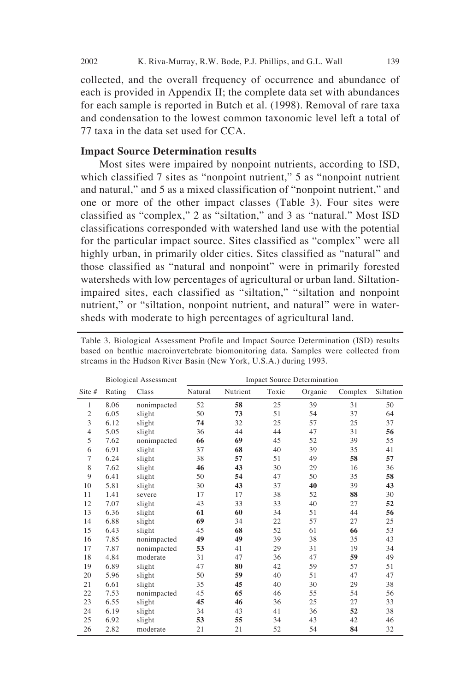collected, and the overall frequency of occurrence and abundance of each is provided in Appendix II; the complete data set with abundances for each sample is reported in Butch et al. (1998). Removal of rare taxa and condensation to the lowest common taxonomic level left a total of 77 taxa in the data set used for CCA.

# **Impact Source Determination results**

Most sites were impaired by nonpoint nutrients, according to ISD, which classified 7 sites as "nonpoint nutrient," 5 as "nonpoint nutrient and natural," and 5 as a mixed classification of "nonpoint nutrient," and one or more of the other impact classes (Table 3). Four sites were classified as "complex," 2 as "siltation," and 3 as "natural." Most ISD classifications corresponded with watershed land use with the potential for the particular impact source. Sites classified as "complex" were all highly urban, in primarily older cities. Sites classified as "natural" and those classified as "natural and nonpoint" were in primarily forested watersheds with low percentages of agricultural or urban land. Siltationimpaired sites, each classified as "siltation," "siltation and nonpoint nutrient," or "siltation, nonpoint nutrient, and natural" were in watersheds with moderate to high percentages of agricultural land.

|                         |        | <b>Biological Assessment</b> |         |          |       | <b>Impact Source Determination</b> |         |           |
|-------------------------|--------|------------------------------|---------|----------|-------|------------------------------------|---------|-----------|
| Site #                  | Rating | Class                        | Natural | Nutrient | Toxic | Organic                            | Complex | Siltation |
| $\mathbf{1}$            | 8.06   | nonimpacted                  | 52      | 58       | 25    | 39                                 | 31      | 50        |
| $\overline{\mathbf{c}}$ | 6.05   | slight                       | 50      | 73       | 51    | 54                                 | 37      | 64        |
| 3                       | 6.12   | slight                       | 74      | 32       | 25    | 57                                 | 25      | 37        |
| $\overline{4}$          | 5.05   | slight                       | 36      | 44       | 44    | 47                                 | 31      | 56        |
| 5                       | 7.62   | nonimpacted                  | 66      | 69       | 45    | 52                                 | 39      | 55        |
| 6                       | 6.91   | slight                       | 37      | 68       | 40    | 39                                 | 35      | 41        |
| 7                       | 6.24   | slight                       | 38      | 57       | 51    | 49                                 | 58      | 57        |
| 8                       | 7.62   | slight                       | 46      | 43       | 30    | 29                                 | 16      | 36        |
| 9                       | 6.41   | slight                       | 50      | 54       | 47    | 50                                 | 35      | 58        |
| 10                      | 5.81   | slight                       | 30      | 43       | 37    | 40                                 | 39      | 43        |
| 11                      | 1.41   | severe                       | 17      | 17       | 38    | 52                                 | 88      | 30        |
| 12                      | 7.07   | slight                       | 43      | 33       | 33    | 40                                 | 27      | 52        |
| 13                      | 6.36   | slight                       | 61      | 60       | 34    | 51                                 | 44      | 56        |
| 14                      | 6.88   | slight                       | 69      | 34       | 22    | 57                                 | 27      | 25        |
| 15                      | 6.43   | slight                       | 45      | 68       | 52    | 61                                 | 66      | 53        |
| 16                      | 7.85   | nonimpacted                  | 49      | 49       | 39    | 38                                 | 35      | 43        |
| 17                      | 7.87   | nonimpacted                  | 53      | 41       | 29    | 31                                 | 19      | 34        |
| 18                      | 4.84   | moderate                     | 31      | 47       | 36    | 47                                 | 59      | 49        |
| 19                      | 6.89   | slight                       | 47      | 80       | 42    | 59                                 | 57      | 51        |
| 20                      | 5.96   | slight                       | 50      | 59       | 40    | 51                                 | 47      | 47        |
| 21                      | 6.61   | slight                       | 35      | 45       | 40    | 30                                 | 29      | 38        |
| 22                      | 7.53   | nonimpacted                  | 45      | 65       | 46    | 55                                 | 54      | 56        |
| 23                      | 6.55   | slight                       | 45      | 46       | 36    | 25                                 | 27      | 33        |
| 24                      | 6.19   | slight                       | 34      | 43       | 41    | 36                                 | 52      | 38        |
| 25                      | 6.92   | slight                       | 53      | 55       | 34    | 43                                 | 42      | 46        |
| 26                      | 2.82   | moderate                     | 21      | 21       | 52    | 54                                 | 84      | 32        |

Table 3. Biological Assessment Profile and Impact Source Determination (ISD) results based on benthic macroinvertebrate biomonitoring data. Samples were collected from streams in the Hudson River Basin (New York, U.S.A.) during 1993.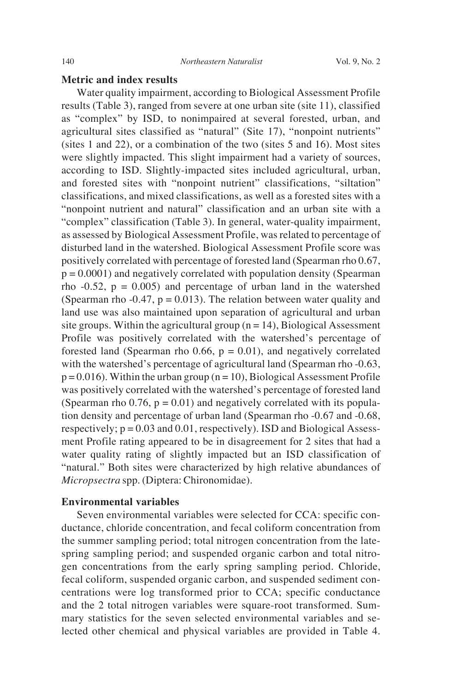# **Metric and index results**

Water quality impairment, according to Biological Assessment Profile results (Table 3), ranged from severe at one urban site (site 11), classified as "complex" by ISD, to nonimpaired at several forested, urban, and agricultural sites classified as "natural" (Site 17), "nonpoint nutrients" (sites 1 and 22), or a combination of the two (sites 5 and 16). Most sites were slightly impacted. This slight impairment had a variety of sources, according to ISD. Slightly-impacted sites included agricultural, urban, and forested sites with "nonpoint nutrient" classifications, "siltation" classifications, and mixed classifications, as well as a forested sites with a "nonpoint nutrient and natural" classification and an urban site with a "complex" classification (Table 3). In general, water-quality impairment, as assessed by Biological Assessment Profile, was related to percentage of disturbed land in the watershed. Biological Assessment Profile score was positively correlated with percentage of forested land (Spearman rho 0.67,  $p = 0.0001$ ) and negatively correlated with population density (Spearman rho  $-0.52$ ,  $p = 0.005$ ) and percentage of urban land in the watershed (Spearman rho  $-0.47$ ,  $p = 0.013$ ). The relation between water quality and land use was also maintained upon separation of agricultural and urban site groups. Within the agricultural group  $(n = 14)$ , Biological Assessment Profile was positively correlated with the watershed's percentage of forested land (Spearman rho 0.66,  $p = 0.01$ ), and negatively correlated with the watershed's percentage of agricultural land (Spearman rho -0.63,  $p = 0.016$ ). Within the urban group ( $n = 10$ ), Biological Assessment Profile was positively correlated with the watershed's percentage of forested land (Spearman rho  $0.76$ ,  $p = 0.01$ ) and negatively correlated with its population density and percentage of urban land (Spearman rho -0.67 and -0.68, respectively;  $p = 0.03$  and  $0.01$ , respectively). ISD and Biological Assessment Profile rating appeared to be in disagreement for 2 sites that had a water quality rating of slightly impacted but an ISD classification of "natural." Both sites were characterized by high relative abundances of *Micropsectra* spp. (Diptera: Chironomidae).

# **Environmental variables**

Seven environmental variables were selected for CCA: specific conductance, chloride concentration, and fecal coliform concentration from the summer sampling period; total nitrogen concentration from the latespring sampling period; and suspended organic carbon and total nitrogen concentrations from the early spring sampling period. Chloride, fecal coliform, suspended organic carbon, and suspended sediment concentrations were log transformed prior to CCA; specific conductance and the 2 total nitrogen variables were square-root transformed. Summary statistics for the seven selected environmental variables and selected other chemical and physical variables are provided in Table 4.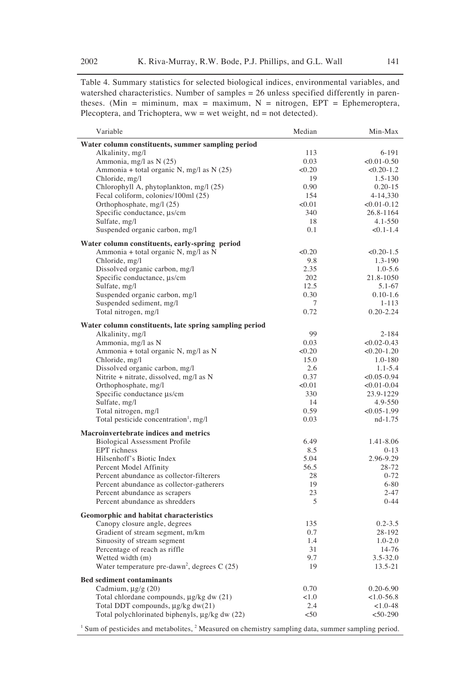Table 4. Summary statistics for selected biological indices, environmental variables, and watershed characteristics. Number of samples = 26 unless specified differently in parentheses. (Min = miminum, max = maximum,  $N =$  nitrogen,  $EPT =$  Ephemeroptera, Plecoptera, and Trichoptera, ww = wet weight, nd = not detected).

| Variable                                                  | Median      | Min-Max                        |
|-----------------------------------------------------------|-------------|--------------------------------|
| Water column constituents, summer sampling period         |             |                                |
| Alkalinity, mg/l                                          | 113         | $6 - 191$                      |
| Ammonia, mg/l as N (25)                                   | 0.03        | $< 0.01 - 0.50$                |
| Ammonia + total organic N, mg/l as N (25)                 | < 0.20      | $< 0.20 - 1.2$                 |
| Chloride, mg/l                                            | 19          | $1.5 - 130$                    |
| Chlorophyll A, phytoplankton, mg/l (25)                   | 0.90        | $0.20 - 15$                    |
| Fecal coliform, colonies/100ml (25)                       | 154         | $4 - 14.330$                   |
| Orthophosphate, mg/l (25)                                 | < 0.01      | $< 0.01 - 0.12$                |
| Specific conductance, $\mu s/cm$                          | 340         | 26.8-1164                      |
| Sulfate, mg/l                                             | 18          | $4.1 - 550$                    |
| Suspended organic carbon, mg/l                            | 0.1         | $< 0.1 - 1.4$                  |
| Water column constituents, early-spring period            |             |                                |
| Ammonia + total organic N, mg/l as N                      | < 0.20      | $< 0.20 - 1.5$                 |
| Chloride, mg/l                                            | 9.8         | $1.3 - 190$                    |
| Dissolved organic carbon, mg/l                            | 2.35        | $1.0 - 5.6$                    |
| Specific conductance, us/cm                               | 202         | 21.8-1050                      |
| Sulfate, mg/l                                             | 12.5        | $5.1 - 67$                     |
| Suspended organic carbon, mg/l                            | 0.30        | $0.10 - 1.6$                   |
| Suspended sediment, mg/l                                  | 7           | $1 - 113$                      |
| Total nitrogen, mg/l                                      | 0.72        | $0.20 - 2.24$                  |
|                                                           |             |                                |
| Water column constituents, late spring sampling period    | 99          |                                |
| Alkalinity, mg/l                                          |             | $2 - 184$                      |
| Ammonia, mg/l as N                                        | 0.03        | $< 0.02 - 0.43$                |
| Ammonia + total organic N, mg/l as N                      | < 0.20      | $< 0.20 - 1.20$                |
| Chloride, mg/l                                            | 15.0<br>2.6 | $1.0 - 180$                    |
| Dissolved organic carbon, mg/l                            | 0.37        | $1.1 - 5.4$<br>$< 0.05 - 0.94$ |
| Nitrite + nitrate, dissolved, mg/l as N                   | < 0.01      | $< 0.01 - 0.04$                |
| Orthophosphate, mg/l                                      | 330         |                                |
| Specific conductance us/cm                                | 14          | 23.9-1229<br>4.9-550           |
| Sulfate, mg/l<br>Total nitrogen, mg/l                     | 0.59        | $< 0.05 - 1.99$                |
| Total pesticide concentration <sup>1</sup> , mg/l         | 0.03        | nd-1.75                        |
|                                                           |             |                                |
| Macroinvertebrate indices and metrics                     |             |                                |
| <b>Biological Assessment Profile</b>                      | 6.49        | 1.41-8.06                      |
| <b>EPT</b> richness                                       | 8.5         | $0-13$                         |
| Hilsenhoff's Biotic Index                                 | 5.04        | 2.96-9.29                      |
| Percent Model Affinity                                    | 56.5        | 28-72                          |
| Percent abundance as collector-filterers                  | 28          | $0 - 72$                       |
| Percent abundance as collector-gatherers                  | 19          | $6 - 80$                       |
| Percent abundance as scrapers                             | 23          | $2 - 47$                       |
| Percent abundance as shredders                            | 5           | $0-44$                         |
| Geomorphic and habitat characteristics                    |             |                                |
| Canopy closure angle, degrees                             | 135         | $0.2 - 3.5$                    |
| Gradient of stream segment, m/km                          | 0.7         | 28-192                         |
| Sinuosity of stream segment                               | 1.4         | $1.0 - 2.0$                    |
| Percentage of reach as riffle                             | 31          | 14-76                          |
| Wetted width (m)                                          | 9.7         | $3.5 - 32.0$                   |
| Water temperature pre-dawn <sup>2</sup> , degrees $C(25)$ | 19          | $13.5 - 21$                    |
| <b>Bed sediment contaminants</b>                          |             |                                |
| Cadmium, $\mu$ g/g (20)                                   | 0.70        | $0.20 - 6.90$                  |
| Total chlordane compounds, µg/kg dw (21)                  | < 1.0       | $< 1.0 - 56.8$                 |
| Total DDT compounds, µg/kg dw(21)                         | 2.4         | $< 1.0 - 48$                   |
| Total polychlorinated biphenyls, µg/kg dw (22)            | < 50        | $< 50 - 290$                   |
|                                                           |             |                                |

<sup>1</sup> Sum of pesticides and metabolites, <sup>2</sup> Measured on chemistry sampling data, summer sampling period.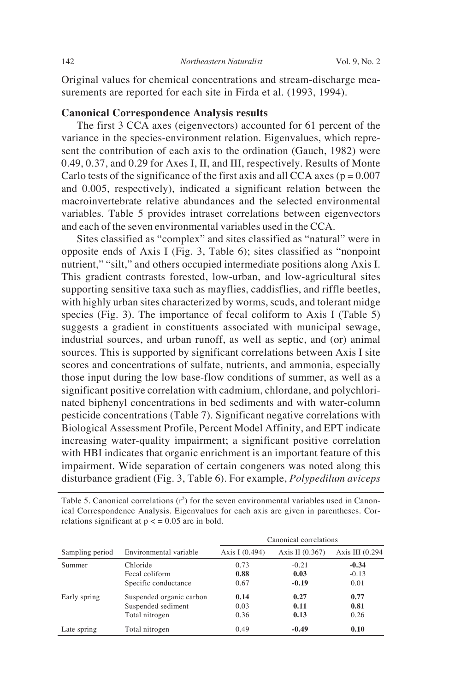Original values for chemical concentrations and stream-discharge measurements are reported for each site in Firda et al. (1993, 1994).

#### **Canonical Correspondence Analysis results**

The first 3 CCA axes (eigenvectors) accounted for 61 percent of the variance in the species-environment relation. Eigenvalues, which represent the contribution of each axis to the ordination (Gauch, 1982) were 0.49, 0.37, and 0.29 for Axes I, II, and III, respectively. Results of Monte Carlo tests of the significance of the first axis and all CCA axes ( $p = 0.007$ ) and 0.005, respectively), indicated a significant relation between the macroinvertebrate relative abundances and the selected environmental variables. Table 5 provides intraset correlations between eigenvectors and each of the seven environmental variables used in the CCA.

Sites classified as "complex" and sites classified as "natural" were in opposite ends of Axis I (Fig. 3, Table 6); sites classified as "nonpoint nutrient," "silt," and others occupied intermediate positions along Axis I. This gradient contrasts forested, low-urban, and low-agricultural sites supporting sensitive taxa such as mayflies, caddisflies, and riffle beetles, with highly urban sites characterized by worms, scuds, and tolerant midge species (Fig. 3). The importance of fecal coliform to Axis I (Table 5) suggests a gradient in constituents associated with municipal sewage, industrial sources, and urban runoff, as well as septic, and (or) animal sources. This is supported by significant correlations between Axis I site scores and concentrations of sulfate, nutrients, and ammonia, especially those input during the low base-flow conditions of summer, as well as a significant positive correlation with cadmium, chlordane, and polychlorinated biphenyl concentrations in bed sediments and with water-column pesticide concentrations (Table 7). Significant negative correlations with Biological Assessment Profile, Percent Model Affinity, and EPT indicate increasing water-quality impairment; a significant positive correlation with HBI indicates that organic enrichment is an important feature of this impairment. Wide separation of certain congeners was noted along this disturbance gradient (Fig. 3, Table 6). For example, *Polypedilum aviceps*

|                 |                          | Canonical correlations |                   |                 |  |  |
|-----------------|--------------------------|------------------------|-------------------|-----------------|--|--|
| Sampling period | Environmental variable   | Axis I (0.494)         | Axis II $(0.367)$ | Axis III (0.294 |  |  |
| Summer          | Chloride                 | 0.73                   | $-0.21$           | $-0.34$         |  |  |
|                 | Fecal coliform           | 0.88                   | 0.03              | $-0.13$         |  |  |
|                 | Specific conductance     | 0.67                   | $-0.19$           | 0.01            |  |  |
| Early spring    | Suspended organic carbon | 0.14                   | 0.27              | 0.77            |  |  |
|                 | Suspended sediment       | 0.03                   | 0.11              | 0.81            |  |  |
|                 | Total nitrogen           | 0.36                   | 0.13              | 0.26            |  |  |
| Late spring     | Total nitrogen           | 0.49                   | $-0.49$           | 0.10            |  |  |

Table 5. Canonical correlations  $(r^2)$  for the seven environmental variables used in Canonical Correspondence Analysis. Eigenvalues for each axis are given in parentheses. Correlations significant at  $p \le 0.05$  are in bold.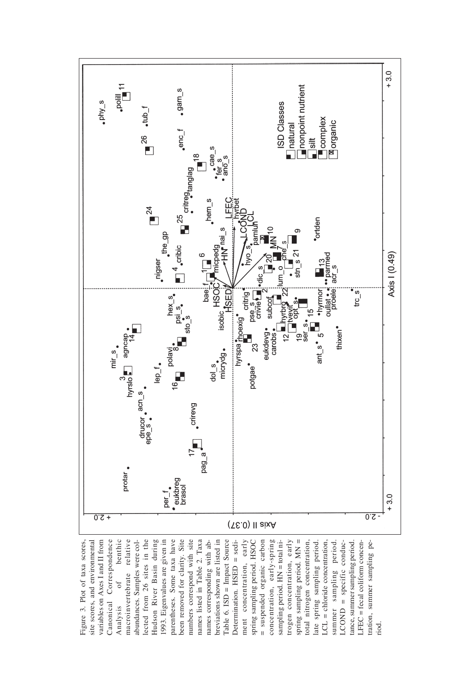

Figure 3. Plot of tax scores,<br>signare 3. Plot of tax scores, and scores, and infromed<br>interactions are chalibed and the chalibed correspondence<br>comonical Correspondence<br>comonical Correspondence<br>detecd from Songits were co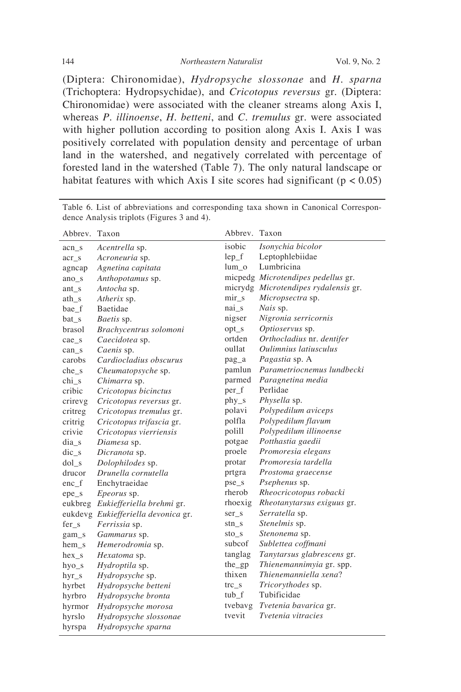(Diptera: Chironomidae), *Hydropsyche slossonae* and *H. sparna* (Trichoptera: Hydropsychidae), and *Cricotopus reversus* gr. (Diptera: Chironomidae) were associated with the cleaner streams along Axis I, whereas *P. illinoense*, *H. betteni*, and *C. tremulus* gr. were associated with higher pollution according to position along Axis I. Axis I was positively correlated with population density and percentage of urban land in the watershed, and negatively correlated with percentage of forested land in the watershed (Table 7). The only natural landscape or habitat features with which Axis I site scores had significant ( $p < 0.05$ )

| Abbrev. Taxon      |                                     | Abbrev. Taxon                   |                                      |
|--------------------|-------------------------------------|---------------------------------|--------------------------------------|
| $acn_s$            | Acentrella sp.                      | isobic                          | Isonychia bicolor                    |
| $acr_s$            | Acroneuria sp.                      | $lep_f$                         | Leptophlebiidae                      |
| agncap             | Agnetina capitata                   | lum o                           | Lumbricina                           |
| ano_s              | Anthopotamus sp.                    |                                 | micpedg Microtendipes pedellus gr.   |
| ant_s              | Antocha sp.                         |                                 | micrydg Microtendipes rydalensis gr. |
| ath_s              | Atherix sp.                         | $mir_s$                         | Micropsectra sp.                     |
| bae_f              | Baetidae                            | $nai_s$                         | Nais sp.                             |
| $bat_s$            | Baetis sp.                          | nigser                          | Nigronia serricornis                 |
| brasol             | Brachycentrus solomoni              | $opt\_s$                        | Optioservus sp.                      |
| $cae_s$            | Caecidotea sp.                      | ortden                          | Orthocladius nr. dentifer            |
| $can$ <sub>s</sub> | Caenis sp.                          | oullat                          | Oulimnius latiusculus                |
| carobs             | Cardiocladius obscurus              | pag_a                           | Pagastia sp. A                       |
| $che_s$            | Cheumatopsyche sp.                  | pamlun                          | Parametriocnemus lundbecki           |
| $chi_s$            | Chimarra sp.                        | parmed                          | Paragnetina media                    |
| cribic             | Cricotopus bicinctus                | $per_f$                         | Perlidae                             |
| crirevg            | Cricotopus reversus gr.             | $phy_s$                         | Physella sp.                         |
| critreg            | Cricotopus tremulus gr.             | polavi                          | Polypedilum aviceps                  |
| critrig            | Cricotopus trifascia gr.            | polfla                          | Polypedilum flavum                   |
| crivie             | Cricotopus vierriensis              | polill                          | Polypedilum illinoense               |
| $dia_s$            | Diamesa sp.                         | potgae                          | Potthastia gaedii                    |
| $dic_s$            | Dicranota sp.                       | proele                          | Promoresia elegans                   |
| $dol_s$            | Dolophilodes sp.                    | protar                          | Promoresia tardella                  |
| drucor             | Drunella cornutella                 | prtgra                          | Prostoma graecense                   |
| $enc_f$            | Enchytraeidae                       | $pse_s$                         | <i>Psephenus</i> sp.                 |
| epe_s              | Epeorus sp.                         | rherob                          | Rheocricotopus robacki               |
|                    | eukbreg Eukiefferiella brehmi gr.   | rhoexig                         | Rheotanytarsus exiguus gr.           |
|                    | eukdevg Eukiefferiella devonica gr. | $ser_s$                         | Serratella sp.                       |
| $fer_s$            | Ferrissia sp.                       | $stn_s$                         | Stenelmis sp.                        |
| $gam_s$            | Gammarus sp.                        | $sto_s$                         | Stenonema sp.                        |
| $hem_s$            | Hemerodromia sp.                    | subcof                          | Sublettea coffmani                   |
| $hex_s$            | Hexatoma sp.                        | tanglag                         | Tanytarsus glabrescens gr.           |
| $hyo_s$            | Hydroptila sp.                      | $the\_gp$                       | Thienemannimyia gr. spp.             |
| $hyr$ <sub>s</sub> | Hydropsyche sp.                     | thixen                          | Thienemanniella xena?                |
| hyrbet             | Hydropsyche betteni                 | $trc$ <sub><math>s</math></sub> | Tricorythodes sp.                    |
| hyrbro             | Hydropsyche bronta                  | $tub_f$                         | Tubificidae                          |
| hyrmor             | Hydropsyche morosa                  | tvebavg                         | Tvetenia bavarica gr.                |
| hyrslo             | Hydropsyche slossonae               | tvevit                          | Tvetenia vitracies                   |
| hyrspa             | Hydropsyche sparna                  |                                 |                                      |

Table 6. List of abbreviations and corresponding taxa shown in Canonical Correspondence Analysis triplots (Figures 3 and 4).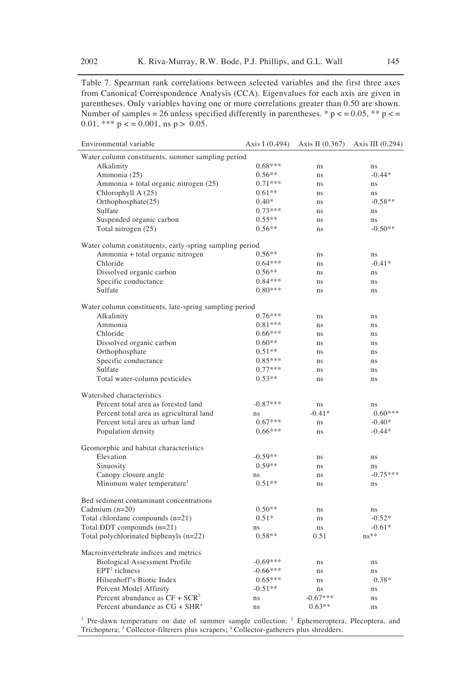Table 7. Spearman rank correlations between selected variables and the first three axes from Canonical Correspondence Analysis (CCA). Eigenvalues for each axis are given in parentheses. Only variables having one or more correlations greater than 0.50 are shown. Number of samples = 26 unless specified differently in parentheses. \*  $p \le 0.05$ , \*\*  $p \le$ 0.01, \*\*\*  $p < 0.001$ , ns  $p > 0.05$ .

| Environmental variable                                  | Axis I (0.494) | Axis II (0.367) | Axis III (0.294) |
|---------------------------------------------------------|----------------|-----------------|------------------|
| Water column constituents, summer sampling period       |                |                 |                  |
| Alkalinity                                              | $0.68***$      | ns              | ns               |
| Ammonia (25)                                            | $0.56**$       | ns              | $-0.44*$         |
| Ammonia + total organic nitrogen (25)                   | $0.71***$      | ns              | ns               |
| Chlorophyll A (25)                                      | $0.61**$       | ns              | ns               |
| Orthophosphate(25)                                      | $0.40*$        | ns              | $-0.58**$        |
| Sulfate                                                 | $0.73***$      | ns              | ns               |
| Suspended organic carbon                                | $0.55**$       | ns              | ns               |
| Total nitrogen (25)                                     | $0.56**$       | ns              | $-0.50**$        |
| Water column constituents, early-spring sampling period |                |                 |                  |
| Ammonia + total organic nitrogen                        | $0.56**$       | ns              | ns               |
| Chloride                                                | $0.64***$      | ns              | $-0.41*$         |
| Dissolved organic carbon                                | $0.56**$       | ns              | ns               |
| Specific conductance                                    | $0.84***$      | ns              | ns               |
| Sulfate                                                 | $0.80***$      | ns              | ns               |
|                                                         |                |                 |                  |
| Water column constituents, late-spring sampling period  |                |                 |                  |
| Alkalinity                                              | $0.76***$      | ns              | ns               |
| Ammonia                                                 | $0.81***$      | ns              | ns               |
| Chloride                                                | $0.66***$      | ns              | ns               |
| Dissolved organic carbon                                | $0.60**$       | ns              | ns               |
| Orthophosphate                                          | $0.51**$       | ns              | ns               |
| Specific conductance                                    | $0.85***$      | ns              | ns               |
| Sulfate                                                 | $0.77***$      | ns              | ns               |
| Total water-column pesticides                           | $0.53**$       | ns              | ns               |
| Watershed characteristics                               |                |                 |                  |
| Percent total area as forested land                     | $-0.87***$     | ns              | ns               |
| Percent total area as agricultural land                 | ns             | $-0.41*$        | $0.60***$        |
| Percent total area as urban land                        | $0.67***$      | ns              | $-0.40*$         |
| Population density                                      | $0.66***$      | ns              | $-0.44*$         |
| Geomorphic and habitat characteristics                  |                |                 |                  |
| Elevation                                               | $-0.59**$      | ns              | ns               |
| Sinuosity                                               | $0.59**$       | ns              | ns               |
| Canopy closure angle                                    | ns             | ns              | $-0.75***$       |
| Minimum water temperature <sup>1</sup>                  | $0.51**$       | ns              | ns               |
|                                                         |                |                 |                  |
| Bed sediment contaminant concentrations                 |                |                 |                  |
| Cadmium $(n=20)$                                        | $0.50**$       | ns              | ns               |
| Total chlordane compounds $(n=21)$                      | $0.51*$        | ns              | $-0.52*$         |
| Total DDT compounds (n=21)                              | ns             | ns              | $-0.61*$         |
| Total polychlorinated biphenyls (n=22)                  | $0.58**$       | 0.51            | $ns**$           |
| Macroinvertebrate indices and metrics                   |                |                 |                  |
| <b>Biological Assessment Profile</b>                    | $-0.69***$     | ns              | ns               |
| $EPT2$ richness                                         | $-0.66***$     | ns              | ns               |
| Hilsenhoff's Biotic Index                               | $0.65***$      | ns              | $0.38*$          |
| Percent Model Affinity                                  | $-0.51**$      | ns              | ns               |
| Percent abundance as $CF + SCR3$                        | ns             | $-0.67***$      | ns               |
| Percent abundance as $CG + SHR4$                        | ns             | $0.63**$        | ns               |

<sup>1</sup> Pre-dawn temperature on date of summer sample collection;  $<sup>2</sup>$  Ephemeroptera, Plecoptera, and</sup> Trichoptera; <sup>3</sup> Collector-filterers plus scrapers; <sup>4</sup> Collector-gatherers plus shredders.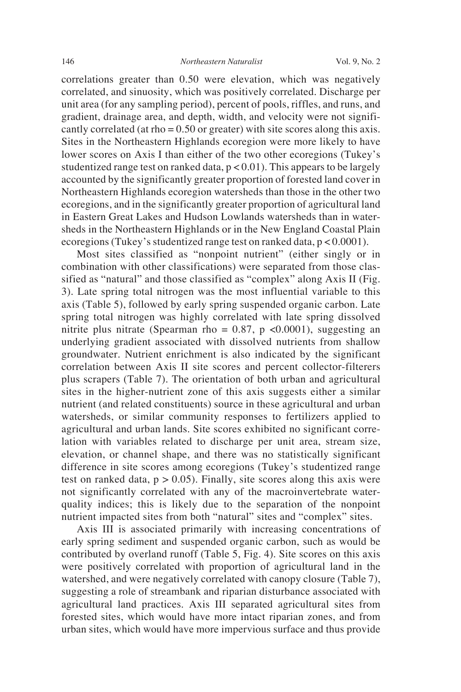correlations greater than 0.50 were elevation, which was negatively correlated, and sinuosity, which was positively correlated. Discharge per unit area (for any sampling period), percent of pools, riffles, and runs, and gradient, drainage area, and depth, width, and velocity were not significantly correlated (at rho =  $0.50$  or greater) with site scores along this axis. Sites in the Northeastern Highlands ecoregion were more likely to have lower scores on Axis I than either of the two other ecoregions (Tukey's studentized range test on ranked data,  $p < 0.01$ ). This appears to be largely accounted by the significantly greater proportion of forested land cover in Northeastern Highlands ecoregion watersheds than those in the other two ecoregions, and in the significantly greater proportion of agricultural land in Eastern Great Lakes and Hudson Lowlands watersheds than in watersheds in the Northeastern Highlands or in the New England Coastal Plain ecoregions (Tukey's studentized range test on ranked data, p < 0.0001).

Most sites classified as "nonpoint nutrient" (either singly or in combination with other classifications) were separated from those classified as "natural" and those classified as "complex" along Axis II (Fig. 3). Late spring total nitrogen was the most influential variable to this axis (Table 5), followed by early spring suspended organic carbon. Late spring total nitrogen was highly correlated with late spring dissolved nitrite plus nitrate (Spearman rho =  $0.87$ , p <  $0.0001$ ), suggesting an underlying gradient associated with dissolved nutrients from shallow groundwater. Nutrient enrichment is also indicated by the significant correlation between Axis II site scores and percent collector-filterers plus scrapers (Table 7). The orientation of both urban and agricultural sites in the higher-nutrient zone of this axis suggests either a similar nutrient (and related constituents) source in these agricultural and urban watersheds, or similar community responses to fertilizers applied to agricultural and urban lands. Site scores exhibited no significant correlation with variables related to discharge per unit area, stream size, elevation, or channel shape, and there was no statistically significant difference in site scores among ecoregions (Tukey's studentized range test on ranked data,  $p > 0.05$ ). Finally, site scores along this axis were not significantly correlated with any of the macroinvertebrate waterquality indices; this is likely due to the separation of the nonpoint nutrient impacted sites from both "natural" sites and "complex" sites.

Axis III is associated primarily with increasing concentrations of early spring sediment and suspended organic carbon, such as would be contributed by overland runoff (Table 5, Fig. 4). Site scores on this axis were positively correlated with proportion of agricultural land in the watershed, and were negatively correlated with canopy closure (Table 7), suggesting a role of streambank and riparian disturbance associated with agricultural land practices. Axis III separated agricultural sites from forested sites, which would have more intact riparian zones, and from urban sites, which would have more impervious surface and thus provide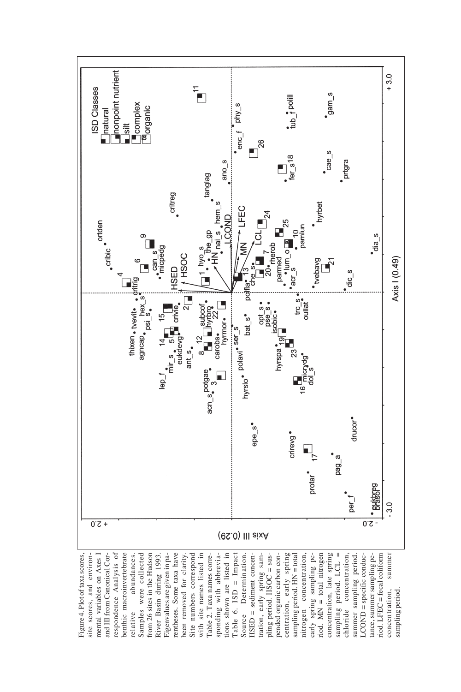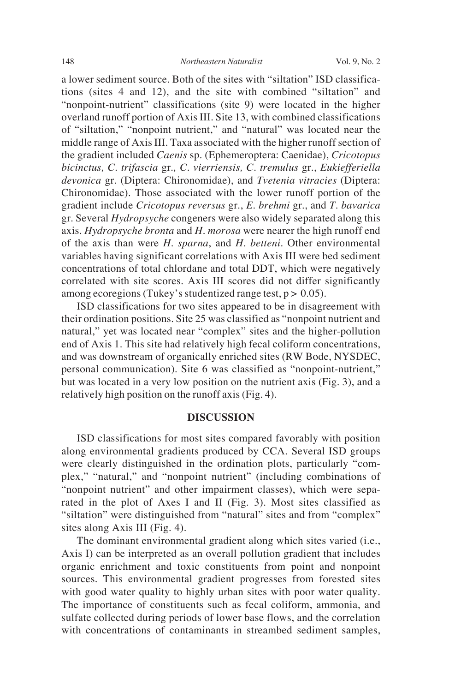a lower sediment source. Both of the sites with "siltation" ISD classifications (sites 4 and 12), and the site with combined "siltation" and "nonpoint-nutrient" classifications (site 9) were located in the higher overland runoff portion of Axis III. Site 13, with combined classifications of "siltation," "nonpoint nutrient," and "natural" was located near the middle range of Axis III. Taxa associated with the higher runoff section of the gradient included *Caenis* sp*.* (Ephemeroptera: Caenidae), *Cricotopus bicinctus, C. trifascia* gr*., C. vierriensis, C. tremulus* gr*.*, *Eukiefferiella devonica* gr. (Diptera: Chironomidae), and *Tvetenia vitracies* (Diptera: Chironomidae). Those associated with the lower runoff portion of the gradient include *Cricotopus reversus* gr., *E. brehmi* gr., and *T. bavarica* gr. Several *Hydropsyche* congeners were also widely separated along this axis. *Hydropsyche bronta* and *H. morosa* were nearer the high runoff end of the axis than were *H. sparna*, and *H. betteni*. Other environmental variables having significant correlations with Axis III were bed sediment concentrations of total chlordane and total DDT, which were negatively correlated with site scores. Axis III scores did not differ significantly among ecoregions (Tukey's studentized range test,  $p > 0.05$ ).

ISD classifications for two sites appeared to be in disagreement with their ordination positions. Site 25 was classified as "nonpoint nutrient and natural," yet was located near "complex" sites and the higher-pollution end of Axis 1. This site had relatively high fecal coliform concentrations, and was downstream of organically enriched sites (RW Bode, NYSDEC, personal communication). Site 6 was classified as "nonpoint-nutrient," but was located in a very low position on the nutrient axis (Fig. 3), and a relatively high position on the runoff axis (Fig. 4).

# **DISCUSSION**

ISD classifications for most sites compared favorably with position along environmental gradients produced by CCA. Several ISD groups were clearly distinguished in the ordination plots, particularly "complex," "natural," and "nonpoint nutrient" (including combinations of "nonpoint nutrient" and other impairment classes), which were separated in the plot of Axes I and II (Fig. 3). Most sites classified as "siltation" were distinguished from "natural" sites and from "complex" sites along Axis III (Fig. 4).

The dominant environmental gradient along which sites varied (i.e., Axis I) can be interpreted as an overall pollution gradient that includes organic enrichment and toxic constituents from point and nonpoint sources. This environmental gradient progresses from forested sites with good water quality to highly urban sites with poor water quality. The importance of constituents such as fecal coliform, ammonia, and sulfate collected during periods of lower base flows, and the correlation with concentrations of contaminants in streambed sediment samples,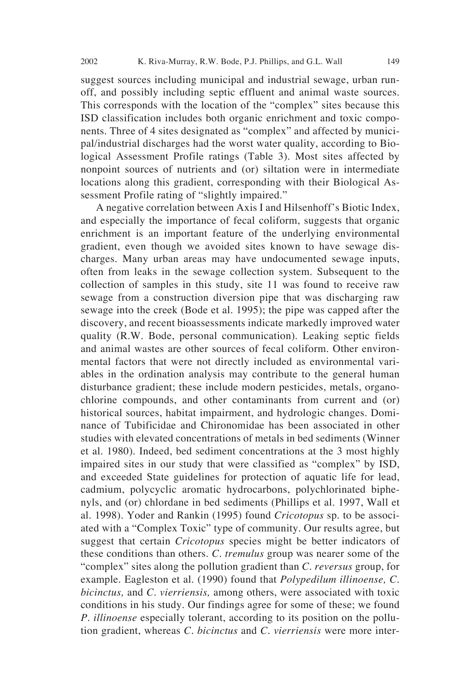suggest sources including municipal and industrial sewage, urban runoff, and possibly including septic effluent and animal waste sources. This corresponds with the location of the "complex" sites because this ISD classification includes both organic enrichment and toxic components. Three of 4 sites designated as "complex" and affected by municipal/industrial discharges had the worst water quality, according to Biological Assessment Profile ratings (Table 3). Most sites affected by nonpoint sources of nutrients and (or) siltation were in intermediate locations along this gradient, corresponding with their Biological Assessment Profile rating of "slightly impaired."

A negative correlation between Axis I and Hilsenhoff's Biotic Index, and especially the importance of fecal coliform, suggests that organic enrichment is an important feature of the underlying environmental gradient, even though we avoided sites known to have sewage discharges. Many urban areas may have undocumented sewage inputs, often from leaks in the sewage collection system. Subsequent to the collection of samples in this study, site 11 was found to receive raw sewage from a construction diversion pipe that was discharging raw sewage into the creek (Bode et al. 1995); the pipe was capped after the discovery, and recent bioassessments indicate markedly improved water quality (R.W. Bode, personal communication). Leaking septic fields and animal wastes are other sources of fecal coliform. Other environmental factors that were not directly included as environmental variables in the ordination analysis may contribute to the general human disturbance gradient; these include modern pesticides, metals, organochlorine compounds, and other contaminants from current and (or) historical sources, habitat impairment, and hydrologic changes. Dominance of Tubificidae and Chironomidae has been associated in other studies with elevated concentrations of metals in bed sediments (Winner et al. 1980). Indeed, bed sediment concentrations at the 3 most highly impaired sites in our study that were classified as "complex" by ISD, and exceeded State guidelines for protection of aquatic life for lead, cadmium, polycyclic aromatic hydrocarbons, polychlorinated biphenyls, and (or) chlordane in bed sediments (Phillips et al. 1997, Wall et al. 1998). Yoder and Rankin (1995) found *Cricotopus* sp. to be associated with a "Complex Toxic" type of community. Our results agree, but suggest that certain *Cricotopus* species might be better indicators of these conditions than others. *C. tremulus* group was nearer some of the "complex" sites along the pollution gradient than *C. reversus* group, for example. Eagleston et al. (1990) found that *Polypedilum illinoense, C. bicinctus,* and *C. vierriensis,* among others, were associated with toxic conditions in his study. Our findings agree for some of these; we found *P. illinoense* especially tolerant, according to its position on the pollution gradient, whereas *C. bicinctus* and *C. vierriensis* were more inter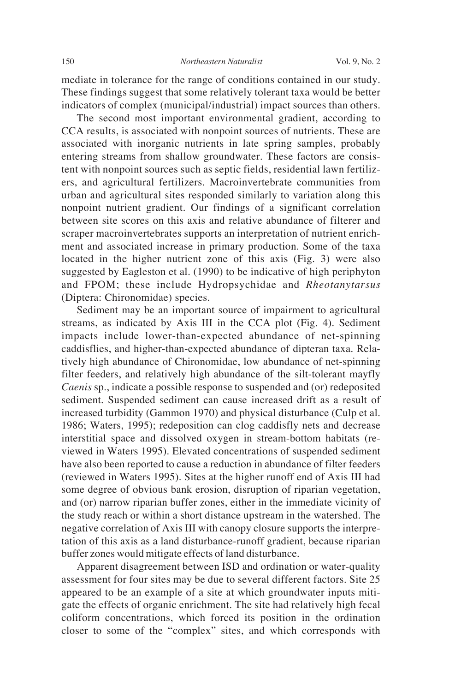mediate in tolerance for the range of conditions contained in our study. These findings suggest that some relatively tolerant taxa would be better indicators of complex (municipal/industrial) impact sources than others.

The second most important environmental gradient, according to CCA results, is associated with nonpoint sources of nutrients. These are associated with inorganic nutrients in late spring samples, probably entering streams from shallow groundwater. These factors are consistent with nonpoint sources such as septic fields, residential lawn fertilizers, and agricultural fertilizers. Macroinvertebrate communities from urban and agricultural sites responded similarly to variation along this nonpoint nutrient gradient. Our findings of a significant correlation between site scores on this axis and relative abundance of filterer and scraper macroinvertebrates supports an interpretation of nutrient enrichment and associated increase in primary production. Some of the taxa located in the higher nutrient zone of this axis (Fig. 3) were also suggested by Eagleston et al. (1990) to be indicative of high periphyton and FPOM; these include Hydropsychidae and *Rheotanytarsus* (Diptera: Chironomidae) species.

Sediment may be an important source of impairment to agricultural streams, as indicated by Axis III in the CCA plot (Fig. 4). Sediment impacts include lower-than-expected abundance of net-spinning caddisflies, and higher-than-expected abundance of dipteran taxa. Relatively high abundance of Chironomidae, low abundance of net-spinning filter feeders, and relatively high abundance of the silt-tolerant mayfly *Caenis* sp., indicate a possible response to suspended and (or) redeposited sediment. Suspended sediment can cause increased drift as a result of increased turbidity (Gammon 1970) and physical disturbance (Culp et al. 1986; Waters, 1995); redeposition can clog caddisfly nets and decrease interstitial space and dissolved oxygen in stream-bottom habitats (reviewed in Waters 1995). Elevated concentrations of suspended sediment have also been reported to cause a reduction in abundance of filter feeders (reviewed in Waters 1995). Sites at the higher runoff end of Axis III had some degree of obvious bank erosion, disruption of riparian vegetation, and (or) narrow riparian buffer zones, either in the immediate vicinity of the study reach or within a short distance upstream in the watershed. The negative correlation of Axis III with canopy closure supports the interpretation of this axis as a land disturbance-runoff gradient, because riparian buffer zones would mitigate effects of land disturbance.

Apparent disagreement between ISD and ordination or water-quality assessment for four sites may be due to several different factors. Site 25 appeared to be an example of a site at which groundwater inputs mitigate the effects of organic enrichment. The site had relatively high fecal coliform concentrations, which forced its position in the ordination closer to some of the "complex" sites, and which corresponds with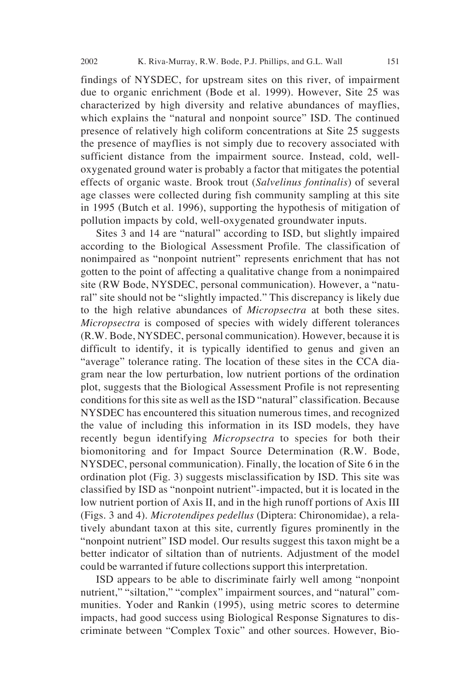findings of NYSDEC, for upstream sites on this river, of impairment due to organic enrichment (Bode et al. 1999). However, Site 25 was characterized by high diversity and relative abundances of mayflies, which explains the "natural and nonpoint source" ISD. The continued presence of relatively high coliform concentrations at Site 25 suggests the presence of mayflies is not simply due to recovery associated with sufficient distance from the impairment source. Instead, cold, welloxygenated ground water is probably a factor that mitigates the potential effects of organic waste. Brook trout (*Salvelinus fontinalis*) of several age classes were collected during fish community sampling at this site in 1995 (Butch et al. 1996), supporting the hypothesis of mitigation of pollution impacts by cold, well-oxygenated groundwater inputs.

Sites 3 and 14 are "natural" according to ISD, but slightly impaired according to the Biological Assessment Profile. The classification of nonimpaired as "nonpoint nutrient" represents enrichment that has not gotten to the point of affecting a qualitative change from a nonimpaired site (RW Bode, NYSDEC, personal communication). However, a "natural" site should not be "slightly impacted." This discrepancy is likely due to the high relative abundances of *Micropsectra* at both these sites. *Micropsectra* is composed of species with widely different tolerances (R.W. Bode, NYSDEC, personal communication). However, because it is difficult to identify, it is typically identified to genus and given an "average" tolerance rating. The location of these sites in the CCA diagram near the low perturbation, low nutrient portions of the ordination plot, suggests that the Biological Assessment Profile is not representing conditions for this site as well as the ISD "natural" classification. Because NYSDEC has encountered this situation numerous times, and recognized the value of including this information in its ISD models, they have recently begun identifying *Micropsectra* to species for both their biomonitoring and for Impact Source Determination (R.W. Bode, NYSDEC, personal communication). Finally, the location of Site 6 in the ordination plot (Fig. 3) suggests misclassification by ISD. This site was classified by ISD as "nonpoint nutrient"-impacted, but it is located in the low nutrient portion of Axis II, and in the high runoff portions of Axis III (Figs. 3 and 4). *Microtendipes pedellus* (Diptera: Chironomidae), a relatively abundant taxon at this site, currently figures prominently in the "nonpoint nutrient" ISD model*.* Our results suggest this taxon might be a better indicator of siltation than of nutrients. Adjustment of the model could be warranted if future collections support this interpretation.

ISD appears to be able to discriminate fairly well among "nonpoint nutrient," "siltation," "complex" impairment sources, and "natural" communities. Yoder and Rankin (1995), using metric scores to determine impacts, had good success using Biological Response Signatures to discriminate between "Complex Toxic" and other sources. However, Bio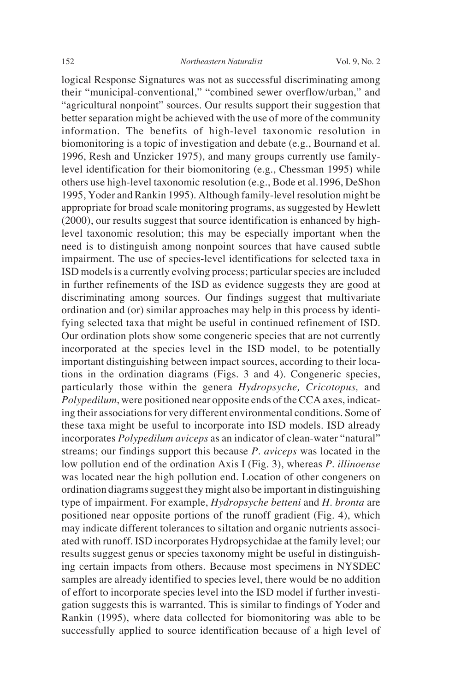logical Response Signatures was not as successful discriminating among their "municipal-conventional," "combined sewer overflow/urban," and "agricultural nonpoint" sources. Our results support their suggestion that better separation might be achieved with the use of more of the community information. The benefits of high-level taxonomic resolution in biomonitoring is a topic of investigation and debate (e.g., Bournand et al. 1996, Resh and Unzicker 1975), and many groups currently use familylevel identification for their biomonitoring (e.g., Chessman 1995) while others use high-level taxonomic resolution (e.g., Bode et al.1996, DeShon 1995, Yoder and Rankin 1995). Although family-level resolution might be appropriate for broad scale monitoring programs, as suggested by Hewlett (2000), our results suggest that source identification is enhanced by highlevel taxonomic resolution; this may be especially important when the need is to distinguish among nonpoint sources that have caused subtle impairment. The use of species-level identifications for selected taxa in ISD models is a currently evolving process; particular species are included in further refinements of the ISD as evidence suggests they are good at discriminating among sources. Our findings suggest that multivariate ordination and (or) similar approaches may help in this process by identifying selected taxa that might be useful in continued refinement of ISD. Our ordination plots show some congeneric species that are not currently incorporated at the species level in the ISD model, to be potentially important distinguishing between impact sources, according to their locations in the ordination diagrams (Figs. 3 and 4). Congeneric species, particularly those within the genera *Hydropsyche, Cricotopus,* and *Polypedilum*, were positioned near opposite ends of the CCA axes, indicating their associations for very different environmental conditions. Some of these taxa might be useful to incorporate into ISD models. ISD already incorporates *Polypedilum aviceps* as an indicator of clean-water "natural" streams; our findings support this because *P. aviceps* was located in the low pollution end of the ordination Axis I (Fig. 3), whereas *P. illinoense* was located near the high pollution end. Location of other congeners on ordination diagrams suggest they might also be important in distinguishing type of impairment. For example, *Hydropsyche betteni* and *H. bronta* are positioned near opposite portions of the runoff gradient (Fig. 4), which may indicate different tolerances to siltation and organic nutrients associated with runoff. ISD incorporates Hydropsychidae at the family level; our results suggest genus or species taxonomy might be useful in distinguishing certain impacts from others. Because most specimens in NYSDEC samples are already identified to species level, there would be no addition of effort to incorporate species level into the ISD model if further investigation suggests this is warranted. This is similar to findings of Yoder and Rankin (1995), where data collected for biomonitoring was able to be successfully applied to source identification because of a high level of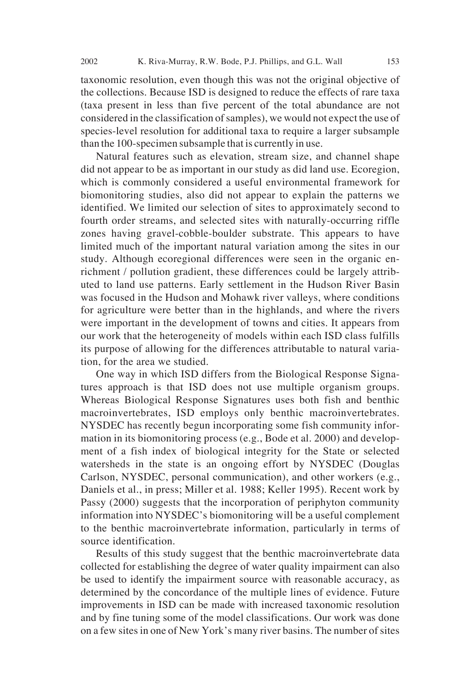taxonomic resolution, even though this was not the original objective of the collections. Because ISD is designed to reduce the effects of rare taxa (taxa present in less than five percent of the total abundance are not considered in the classification of samples), we would not expect the use of species-level resolution for additional taxa to require a larger subsample than the 100-specimen subsample that is currently in use.

Natural features such as elevation, stream size, and channel shape did not appear to be as important in our study as did land use. Ecoregion, which is commonly considered a useful environmental framework for biomonitoring studies, also did not appear to explain the patterns we identified. We limited our selection of sites to approximately second to fourth order streams, and selected sites with naturally-occurring riffle zones having gravel-cobble-boulder substrate. This appears to have limited much of the important natural variation among the sites in our study. Although ecoregional differences were seen in the organic enrichment / pollution gradient, these differences could be largely attributed to land use patterns. Early settlement in the Hudson River Basin was focused in the Hudson and Mohawk river valleys, where conditions for agriculture were better than in the highlands, and where the rivers were important in the development of towns and cities. It appears from our work that the heterogeneity of models within each ISD class fulfills its purpose of allowing for the differences attributable to natural variation, for the area we studied.

One way in which ISD differs from the Biological Response Signatures approach is that ISD does not use multiple organism groups. Whereas Biological Response Signatures uses both fish and benthic macroinvertebrates, ISD employs only benthic macroinvertebrates. NYSDEC has recently begun incorporating some fish community information in its biomonitoring process (e.g., Bode et al. 2000) and development of a fish index of biological integrity for the State or selected watersheds in the state is an ongoing effort by NYSDEC (Douglas Carlson, NYSDEC, personal communication), and other workers (e.g., Daniels et al., in press; Miller et al. 1988; Keller 1995). Recent work by Passy (2000) suggests that the incorporation of periphyton community information into NYSDEC's biomonitoring will be a useful complement to the benthic macroinvertebrate information, particularly in terms of source identification.

Results of this study suggest that the benthic macroinvertebrate data collected for establishing the degree of water quality impairment can also be used to identify the impairment source with reasonable accuracy, as determined by the concordance of the multiple lines of evidence. Future improvements in ISD can be made with increased taxonomic resolution and by fine tuning some of the model classifications. Our work was done on a few sites in one of New York's many river basins. The number of sites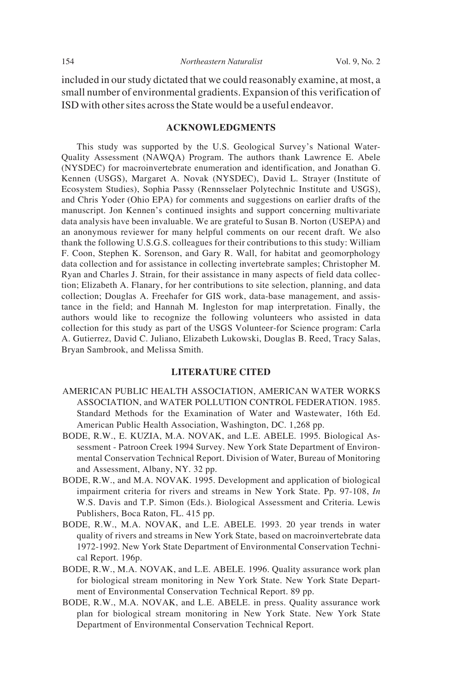included in our study dictated that we could reasonably examine, at most, a small number of environmental gradients. Expansion of this verification of ISD with other sites across the State would be a useful endeavor.

#### **ACKNOWLEDGMENTS**

This study was supported by the U.S. Geological Survey's National Water-Quality Assessment (NAWQA) Program. The authors thank Lawrence E. Abele (NYSDEC) for macroinvertebrate enumeration and identification, and Jonathan G. Kennen (USGS), Margaret A. Novak (NYSDEC), David L. Strayer (Institute of Ecosystem Studies), Sophia Passy (Rennsselaer Polytechnic Institute and USGS), and Chris Yoder (Ohio EPA) for comments and suggestions on earlier drafts of the manuscript. Jon Kennen's continued insights and support concerning multivariate data analysis have been invaluable. We are grateful to Susan B. Norton (USEPA) and an anonymous reviewer for many helpful comments on our recent draft. We also thank the following U.S.G.S. colleagues for their contributions to this study: William F. Coon, Stephen K. Sorenson, and Gary R. Wall, for habitat and geomorphology data collection and for assistance in collecting invertebrate samples; Christopher M. Ryan and Charles J. Strain, for their assistance in many aspects of field data collection; Elizabeth A. Flanary, for her contributions to site selection, planning, and data collection; Douglas A. Freehafer for GIS work, data-base management, and assistance in the field; and Hannah M. Ingleston for map interpretation. Finally, the authors would like to recognize the following volunteers who assisted in data collection for this study as part of the USGS Volunteer-for Science program: Carla A. Gutierrez, David C. Juliano, Elizabeth Lukowski, Douglas B. Reed, Tracy Salas, Bryan Sambrook, and Melissa Smith.

#### **LITERATURE CITED**

- AMERICAN PUBLIC HEALTH ASSOCIATION, AMERICAN WATER WORKS ASSOCIATION, and WATER POLLUTION CONTROL FEDERATION. 1985. Standard Methods for the Examination of Water and Wastewater, 16th Ed. American Public Health Association, Washington, DC. 1,268 pp.
- BODE, R.W., E. KUZIA, M.A. NOVAK, and L.E. ABELE. 1995. Biological Assessment - Patroon Creek 1994 Survey. New York State Department of Environmental Conservation Technical Report. Division of Water, Bureau of Monitoring and Assessment, Albany, NY. 32 pp.
- BODE, R.W., and M.A. NOVAK. 1995. Development and application of biological impairment criteria for rivers and streams in New York State. Pp. 97-108, *In* W.S. Davis and T.P. Simon (Eds.). Biological Assessment and Criteria. Lewis Publishers, Boca Raton, FL. 415 pp.
- BODE, R.W., M.A. NOVAK, and L.E. ABELE. 1993. 20 year trends in water quality of rivers and streams in New York State, based on macroinvertebrate data 1972-1992. New York State Department of Environmental Conservation Technical Report. 196p.
- BODE, R.W., M.A. NOVAK, and L.E. ABELE. 1996. Quality assurance work plan for biological stream monitoring in New York State. New York State Department of Environmental Conservation Technical Report. 89 pp.
- BODE, R.W., M.A. NOVAK, and L.E. ABELE. in press. Quality assurance work plan for biological stream monitoring in New York State. New York State Department of Environmental Conservation Technical Report.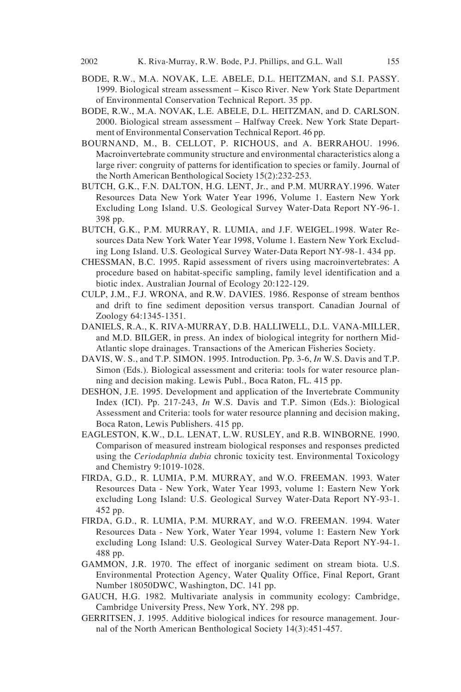- BODE, R.W., M.A. NOVAK, L.E. ABELE, D.L. HEITZMAN, and S.I. PASSY. 1999. Biological stream assessment – Kisco River. New York State Department of Environmental Conservation Technical Report. 35 pp.
- BODE, R.W., M.A. NOVAK, L.E. ABELE, D.L. HEITZMAN, and D. CARLSON. 2000. Biological stream assessment – Halfway Creek. New York State Department of Environmental Conservation Technical Report. 46 pp.
- BOURNAND, M., B. CELLOT, P. RICHOUS, and A. BERRAHOU. 1996. Macroinvertebrate community structure and environmental characteristics along a large river: congruity of patterns for identification to species or family. Journal of the North American Benthological Society 15(2):232-253.
- BUTCH, G.K., F.N. DALTON, H.G. LENT, Jr., and P.M. MURRAY.1996. Water Resources Data New York Water Year 1996, Volume 1. Eastern New York Excluding Long Island. U.S. Geological Survey Water-Data Report NY-96-1. 398 pp.
- BUTCH, G.K., P.M. MURRAY, R. LUMIA, and J.F. WEIGEL.1998. Water Resources Data New York Water Year 1998, Volume 1. Eastern New York Excluding Long Island. U.S. Geological Survey Water-Data Report NY-98-1. 434 pp.
- CHESSMAN, B.C. 1995. Rapid assessment of rivers using macroinvertebrates: A procedure based on habitat-specific sampling, family level identification and a biotic index. Australian Journal of Ecology 20:122-129.
- CULP, J.M., F.J. WRONA, and R.W. DAVIES. 1986. Response of stream benthos and drift to fine sediment deposition versus transport. Canadian Journal of Zoology 64:1345-1351.
- DANIELS, R.A., K. RIVA-MURRAY, D.B. HALLIWELL, D.L. VANA-MILLER, and M.D. BILGER, in press. An index of biological integrity for northern Mid-Atlantic slope drainages. Transactions of the American Fisheries Society.
- DAVIS, W. S., and T.P. SIMON. 1995. Introduction. Pp. 3-6, *In* W.S. Davis and T.P. Simon (Eds.). Biological assessment and criteria: tools for water resource planning and decision making. Lewis Publ., Boca Raton, FL. 415 pp.
- DESHON, J.E. 1995. Development and application of the Invertebrate Community Index (ICI). Pp. 217-243, *In* W.S. Davis and T.P. Simon (Eds.): Biological Assessment and Criteria: tools for water resource planning and decision making, Boca Raton, Lewis Publishers. 415 pp.
- EAGLESTON, K.W., D.L. LENAT, L.W. RUSLEY, and R.B. WINBORNE. 1990. Comparison of measured instream biological responses and responses predicted using the *Ceriodaphnia dubia* chronic toxicity test. Environmental Toxicology and Chemistry 9:1019-1028.
- FIRDA, G.D., R. LUMIA, P.M. MURRAY, and W.O. FREEMAN. 1993. Water Resources Data - New York, Water Year 1993, volume 1: Eastern New York excluding Long Island: U.S. Geological Survey Water-Data Report NY-93-1. 452 pp.
- FIRDA, G.D., R. LUMIA, P.M. MURRAY, and W.O. FREEMAN. 1994. Water Resources Data - New York, Water Year 1994, volume 1: Eastern New York excluding Long Island: U.S. Geological Survey Water-Data Report NY-94-1. 488 pp.
- GAMMON, J.R. 1970. The effect of inorganic sediment on stream biota. U.S. Environmental Protection Agency, Water Quality Office, Final Report, Grant Number 18050DWC, Washington, DC. 141 pp.
- GAUCH, H.G. 1982. Multivariate analysis in community ecology: Cambridge, Cambridge University Press, New York, NY. 298 pp.
- GERRITSEN, J. 1995. Additive biological indices for resource management. Journal of the North American Benthological Society 14(3):451-457.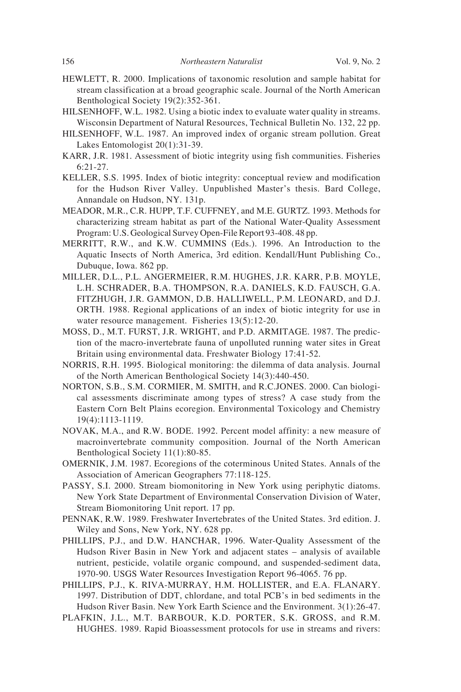- HEWLETT, R. 2000. Implications of taxonomic resolution and sample habitat for stream classification at a broad geographic scale. Journal of the North American Benthological Society 19(2):352-361.
- HILSENHOFF, W.L. 1982. Using a biotic index to evaluate water quality in streams. Wisconsin Department of Natural Resources, Technical Bulletin No. 132, 22 pp.
- HILSENHOFF, W.L. 1987. An improved index of organic stream pollution. Great Lakes Entomologist 20(1):31-39.
- KARR, J.R. 1981. Assessment of biotic integrity using fish communities. Fisheries 6:21-27.
- KELLER, S.S. 1995. Index of biotic integrity: conceptual review and modification for the Hudson River Valley. Unpublished Master's thesis. Bard College, Annandale on Hudson, NY. 131p.
- MEADOR, M.R., C.R. HUPP, T.F. CUFFNEY, and M.E. GURTZ. 1993. Methods for characterizing stream habitat as part of the National Water-Quality Assessment Program: U.S. Geological Survey Open-File Report 93-408. 48 pp.
- MERRITT, R.W., and K.W. CUMMINS (Eds.). 1996. An Introduction to the Aquatic Insects of North America, 3rd edition. Kendall/Hunt Publishing Co., Dubuque, Iowa. 862 pp.
- MILLER, D.L., P.L. ANGERMEIER, R.M. HUGHES, J.R. KARR, P.B. MOYLE, L.H. SCHRADER, B.A. THOMPSON, R.A. DANIELS, K.D. FAUSCH, G.A. FITZHUGH, J.R. GAMMON, D.B. HALLIWELL, P.M. LEONARD, and D.J. ORTH. 1988. Regional applications of an index of biotic integrity for use in water resource management. Fisheries 13(5):12-20.
- MOSS, D., M.T. FURST, J.R. WRIGHT, and P.D. ARMITAGE. 1987. The prediction of the macro-invertebrate fauna of unpolluted running water sites in Great Britain using environmental data. Freshwater Biology 17:41-52.
- NORRIS, R.H. 1995. Biological monitoring: the dilemma of data analysis. Journal of the North American Benthological Society 14(3):440-450.
- NORTON, S.B., S.M. CORMIER, M. SMITH, and R.C.JONES. 2000. Can biological assessments discriminate among types of stress? A case study from the Eastern Corn Belt Plains ecoregion. Environmental Toxicology and Chemistry 19(4):1113-1119.
- NOVAK, M.A., and R.W. BODE. 1992. Percent model affinity: a new measure of macroinvertebrate community composition. Journal of the North American Benthological Society 11(1):80-85.
- OMERNIK, J.M. 1987. Ecoregions of the coterminous United States. Annals of the Association of American Geographers 77:118-125.
- PASSY, S.I. 2000. Stream biomonitoring in New York using periphytic diatoms. New York State Department of Environmental Conservation Division of Water, Stream Biomonitoring Unit report. 17 pp.
- PENNAK, R.W. 1989. Freshwater Invertebrates of the United States. 3rd edition. J. Wiley and Sons, New York, NY. 628 pp.
- PHILLIPS, P.J., and D.W. HANCHAR, 1996. Water-Quality Assessment of the Hudson River Basin in New York and adjacent states – analysis of available nutrient, pesticide, volatile organic compound, and suspended-sediment data, 1970-90. USGS Water Resources Investigation Report 96-4065. 76 pp.
- PHILLIPS, P.J., K. RIVA-MURRAY, H.M. HOLLISTER, and E.A. FLANARY. 1997. Distribution of DDT, chlordane, and total PCB's in bed sediments in the Hudson River Basin. New York Earth Science and the Environment. 3(1):26-47.
- PLAFKIN, J.L., M.T. BARBOUR, K.D. PORTER, S.K. GROSS, and R.M. HUGHES. 1989. Rapid Bioassessment protocols for use in streams and rivers: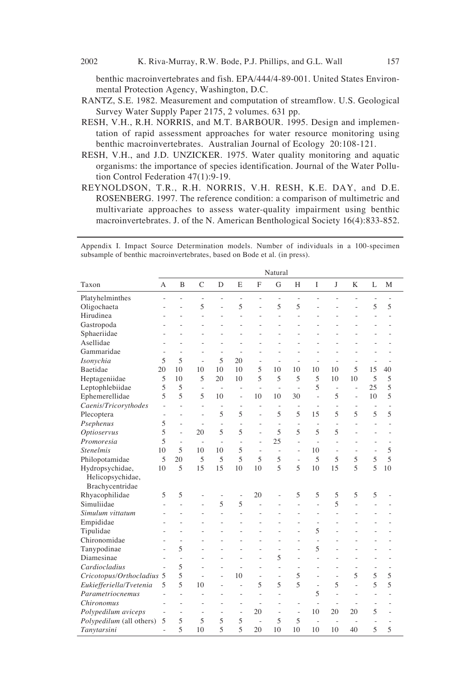benthic macroinvertebrates and fish. EPA/444/4-89-001. United States Environmental Protection Agency, Washington, D.C.

- RANTZ, S.E. 1982. Measurement and computation of streamflow. U.S. Geological Survey Water Supply Paper 2175, 2 volumes. 631 pp.
- RESH, V.H., R.H. NORRIS, and M.T. BARBOUR. 1995. Design and implementation of rapid assessment approaches for water resource monitoring using benthic macroinvertebrates. Australian Journal of Ecology 20:108-121.
- RESH, V.H., and J.D. UNZICKER. 1975. Water quality monitoring and aquatic organisms: the importance of species identification. Journal of the Water Pollution Control Federation 47(1):9-19.
- REYNOLDSON, T.R., R.H. NORRIS, V.H. RESH, K.E. DAY, and D.E. ROSENBERG. 1997. The reference condition: a comparison of multimetric and multivariate approaches to assess water-quality impairment using benthic macroinvertebrates. J. of the N. American Benthological Society 16(4):833-852.

Appendix I. Impact Source Determination models. Number of individuals in a 100-specimen subsample of benthic macroinvertebrates, based on Bode et al. (in press).

|                           |    |              |                |    |                          |                | Natural |    |                |    |    |    |    |
|---------------------------|----|--------------|----------------|----|--------------------------|----------------|---------|----|----------------|----|----|----|----|
| Taxon                     | А  | $\mathbf{B}$ | $\overline{C}$ | D  | E                        | F              | G       | H  | L              | J  | K  | L  | M  |
| Platyhelminthes           | ä, | ä,           | ä,             | ä, | ä,                       | L,             | $\sim$  | ä, | L,             | ä, | ä, | ä, | ÷  |
| Oligochaeta               |    | ä,           | 5              |    | 5                        | $\overline{a}$ | 5       | 5  |                |    | J. | 5  | 5  |
| Hirudinea                 |    | i.           | i.             | J. | J.                       | ä,             | J.      | J. |                |    | i. | ä, | ä, |
| Gastropoda                |    |              | i.             | i. | i.                       | ۰              | ۳       | ۳  |                |    |    | i. | ä, |
| Sphaeriidae               |    |              | ٠              | ٠  | i.                       |                |         |    |                |    |    | i. |    |
| Asellidae                 |    |              | i.             | ٠  | i.                       |                |         |    |                |    |    |    |    |
| Gammaridae                |    | ٠            | ٠              | ä, | J.                       |                |         |    |                |    |    |    |    |
| Isonychia                 | 5  | 5            | J.             | 5  | 20                       | ä,             | J.      | J. | i.             | J. | í. | ä, | ä, |
| Baetidae                  | 20 | 10           | 10             | 10 | 10                       | 5              | 10      | 10 | 10             | 10 | 5  | 15 | 40 |
| Heptageniidae             | 5  | 10           | 5              | 20 | 10                       | 5              | 5       | 5  | 5              | 10 | 10 | 5  | 5  |
| Leptophlebiidae           | 5  | 5            | ä,             | ä, | ä,                       | ÷.             | ÷.      | ä, | 5              | ÷. | ä, | 25 | 5  |
| Ephemerellidae            | 5  | 5            | 5              | 10 | ä,                       | 10             | 10      | 30 | Ĭ.             | 5  | ä, | 10 | 5  |
| Caenis/Tricorythodes      | ä, | ä,           | ä,             | ä, | ä,                       | ä,             | $\sim$  | ×, | L,             | ٠  | ×, | ä, | ä, |
| Plecoptera                | J. | ä,           | ä,             | 5  | 5                        | L,             | 5       | 5  | 15             | 5  | 5  | 5  | 5  |
| Psephenus                 | 5  | ä,           | ä,             | ä, | ä,                       | ä,             | ä,      | ä, | ä,             | ä, | ä, | ä, | ä, |
| <i><b>Optioservus</b></i> | 5  | i,           | 20             | 5  | 5                        | i.             | 5       | 5  | 5              | 5  |    | i, |    |
| Promoresia                | 5  | ä,           | ä,             | ä, | ä,                       | ä,             | 25      | ä, | ä,             |    |    | i. | ä, |
| <b>Stenelmis</b>          | 10 | 5            | 10             | 10 | 5                        | ×              | ×.      | ä, | 10             | ٠  | ٠  | ×  | 5  |
| Philopotamidae            | 5  | 20           | 5              | 5  | 5                        | 5              | 5       | ä, | 5              | 5  | 5  | 5  | 5  |
| Hydropsychidae,           | 10 | 5            | 15             | 15 | 10                       | 10             | 5       | 5  | 10             | 15 | 5  | 5  | 10 |
| Helicopsychidae,          |    |              |                |    |                          |                |         |    |                |    |    |    |    |
| Brachycentridae           |    |              |                |    |                          |                |         |    |                |    |    |    |    |
| Rhyacophilidae            | 5  | 5            |                |    |                          | 20             |         | 5  | 5              | 5  | 5  | 5  |    |
| Simuliidae                |    | Ĭ.           |                | 5  | 5                        | Ĭ.             |         | ä, | $\overline{a}$ | 5  | Ĭ. | ä, |    |
| Simulum vittatum          |    | J.           | ٠              | ä, | J.                       | ۳              |         | i. | J.             | ٠  | ٠  | i. |    |
| Empididae                 |    | i.           | i.             | ٠  | i.                       |                |         | i. | i.             | i. |    |    |    |
| Tipulidae                 |    | i.           | i.             | i. | i.                       |                |         | i. | 5              |    |    |    |    |
| Chironomidae              |    | ä,           |                |    |                          |                |         |    | i,             |    |    |    |    |
| Tanypodinae               |    | 5            |                |    |                          |                | J.      | J. | 5              |    |    |    |    |
| Diamesinae                |    | ä,           |                |    | i.                       | ä,             | 5       | L, | L.             |    |    | i. |    |
| Cardiocladius             |    | 5            |                |    | í.                       | i.             | i.      | L, | i.             |    | ×, | ×  | ä, |
| Cricotopus/Orthocladius 5 |    | 5            |                |    | 10                       | ä,             | ä,      | 5  | ä,             | ä, | 5  | 5  | 5  |
| Eukiefferiella/Tvetenia   | 5  | 5            | 10             | ٠  | ä,                       | 5              | 5       | 5  | ä,             | 5  | Ĭ. | 5  | 5  |
| Parametriocnemus          |    | ٠            | J.             | í. | i.                       | ä,             | ×.      |    | 5              | ä, | ٠  | ä, | u  |
| <b>Chironomus</b>         |    |              | J.             | ä, | í.                       | J.             | ä,      | ٠  | ä,             | ä, | ä, | ä, |    |
| Polypedilum aviceps       | ä, | ä,           | ä,             | ä, | ä,                       | 20             | ä,      | ä, | 10             | 20 | 20 | 5  | ä, |
| Polypedilum (all others)  | 5  | 5            | 5              | 5  | 5                        | i.             | 5       | 5  | ä,             | ×. | ÷. | ä, |    |
| Tanytarsini               | ä, | 5            | 10             | 5  | $\overline{\phantom{0}}$ | 20             | 10      | 10 | 10             | 10 | 40 | 5  | 5  |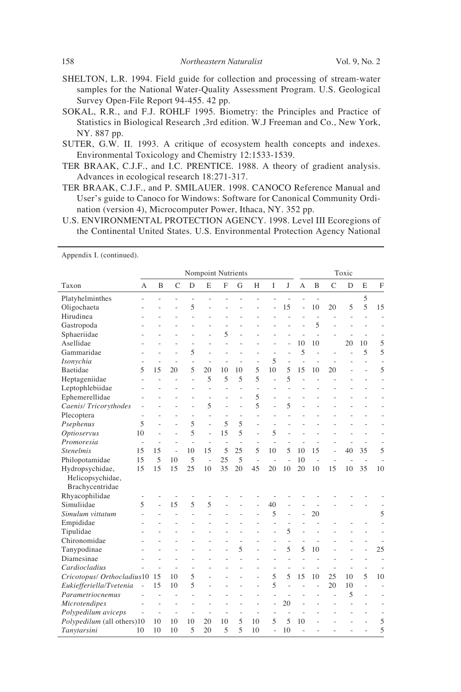- SHELTON, L.R. 1994. Field guide for collection and processing of stream-water samples for the National Water-Quality Assessment Program. U.S. Geological Survey Open-File Report 94-455. 42 pp.
- SOKAL, R.R., and F.J. ROHLF 1995. Biometry: the Principles and Practice of Statistics in Biological Research ,3rd edition. W.J Freeman and Co., New York, NY. 887 pp.
- SUTER, G.W. II. 1993. A critique of ecosystem health concepts and indexes. Environmental Toxicology and Chemistry 12:1533-1539.
- TER BRAAK, C.J.F., and I.C. PRENTICE. 1988. A theory of gradient analysis. Advances in ecological research 18:271-317.
- TER BRAAK, C.J.F., and P. SMILAUER. 1998. CANOCO Reference Manual and User's guide to Canoco for Windows: Software for Canonical Community Ordination (version 4), Microcomputer Power, Ithaca, NY. 352 pp.
- U.S. ENVIRONMENTAL PROTECTION AGENCY. 1998. Level III Ecoregions of the Continental United States. U.S. Environmental Protection Agency National

Appendix I. (continued).

|                            |    |    |                |    | Nompoint Nutrients |    |    |    |                |    |    |    |    | Toxic |                          |    |
|----------------------------|----|----|----------------|----|--------------------|----|----|----|----------------|----|----|----|----|-------|--------------------------|----|
| Taxon                      | А  | B  | $\overline{C}$ | D  | E                  | F  | G  | Н  | I              | J  | А  | B  | Ċ  | D     | E                        | F  |
| Platyhelminthes            | ä, |    | ä,             | í, | J.                 |    | J. | J. | $\overline{a}$ | i, | ٠  | ä, |    |       | 5                        |    |
| Oligochaeta                |    |    |                | 5  |                    |    |    |    |                | 15 | Ĭ. | 10 | 20 | 5     | 5                        | 15 |
| Hirudinea                  |    |    |                |    |                    |    |    |    |                |    |    | ä, |    |       | ä,                       |    |
| Gastropoda                 |    |    |                |    |                    | i. |    |    |                |    |    | 5  |    |       | ٠                        |    |
| Sphaeriidae                |    |    |                |    |                    | 5  |    |    |                |    |    | ä, |    |       | ٠                        |    |
| Asellidae                  |    |    |                | J. |                    |    |    |    |                | ä, | 10 | 10 |    | 20    | 10                       | 5  |
| Gammaridae                 |    |    |                | 5  |                    |    |    |    | J.             | ä, | 5  | L. |    | ä,    | 5                        | 5  |
| Isonychia                  |    |    |                | í, | í.                 | í. |    | ä, | 5              | i, |    | ä, | í. |       | ä,                       | í. |
| Baetidae                   | 5  | 15 | 20             | 5  | 20                 | 10 | 10 | 5  | 10             | 5  | 15 | 10 | 20 |       | ä,                       | 5  |
| Heptageniidae              |    | L  |                | Î. | 5                  | 5  | 5  | 5  | L.             | 5  |    |    |    |       |                          | L  |
| Leptophlebiidae            |    |    |                |    | L,                 | ۳  | ä, | ä, |                | J. |    |    |    |       |                          | J. |
| Ephemerellidae             |    |    |                |    |                    |    | i. | 5  |                |    |    |    |    |       |                          | J. |
| Caenis/Tricorythodes       | J. |    |                | ä, | 5                  | i. | ä, | 5  | J.             | 5  |    |    |    |       |                          | í. |
| Plecoptera                 | ä, |    |                | i, | ٠                  | ä, | ä, |    | i.             |    |    |    |    |       |                          | í. |
| Psephenus                  | 5  |    |                | 5  |                    | 5  | 5  |    |                |    |    |    |    |       |                          |    |
| <b>Optioservus</b>         | 10 |    | i.             | 5  | Ĭ.                 | 15 | 5  | J. | 5              |    |    |    |    |       |                          | i. |
| Promoresia                 | ä, | ä, | i.             | Ĭ. | ä,                 | ä, | ä, | ×, | ä,             | J. |    |    |    |       | ä,                       |    |
| <b>Stenelmis</b>           | 15 | 15 | ä,             | 10 | 15                 | 5  | 25 | 5  | 10             | 5  | 10 | 15 | L, | 40    | 35                       | 5  |
| Philopotamidae             | 15 | 5  | 10             | 5  | ä,                 | 25 | 5  | ä, | i,             | í, | 10 | ä, | i, |       | $\overline{\phantom{a}}$ |    |
| Hydropsychidae,            | 15 | 15 | 15             | 25 | 10                 | 35 | 20 | 45 | 20             | 10 | 20 | 10 | 15 | 10    | 35                       | 10 |
| Helicopsychidae,           |    |    |                |    |                    |    |    |    |                |    |    |    |    |       |                          |    |
| Brachycentridae            |    |    |                |    |                    |    |    |    |                |    |    |    |    |       |                          |    |
| Rhyacophilidae             |    |    |                |    |                    |    |    |    |                |    |    |    |    |       |                          |    |
| Simuliidae                 | 5  | ä, | 15             | 5  | 5                  |    |    |    | 40             |    |    |    |    |       |                          |    |
| Simulum vittatum           |    |    |                | Ĭ. |                    |    |    |    | 5              | í, |    | 20 |    |       |                          | 5  |
| Empididae                  |    |    |                |    |                    |    |    |    |                | i. |    |    |    |       |                          |    |
| Tipulidae                  |    |    |                |    |                    |    |    |    |                | 5  |    |    |    |       |                          | ä, |
| Chironomidae               |    |    |                |    |                    |    | ä, |    |                | ä, |    | ٠  |    |       | ٠                        | ٠  |
| Tanypodinae                |    |    |                |    |                    |    | 5  |    |                | 5  | 5  | 10 |    |       | ä,                       | 25 |
| Diamesinae                 |    |    |                |    |                    |    |    |    |                | í, |    |    |    |       | ä,                       |    |
| Cardiocladius              |    |    |                |    |                    |    |    |    | L,             | ٠  |    | ä, |    | ٠     | ä,                       |    |
| Cricotopus/ Orthocladius10 |    | 15 | 10             | 5  |                    |    |    | J. | 5              | 5  | 15 | 10 | 25 | 10    | 5                        | 10 |
| Eukiefferiella/Tvetenia    |    | 15 | 10             | 5  |                    |    |    | u  | 5              | ä, |    | ä, | 20 | 10    | ä,                       | ä, |
| Parametriocnemus           |    |    |                |    |                    |    |    |    | $\overline{a}$ | ä, |    |    | ä, | 5     |                          |    |
| <b>Microtendipes</b>       |    |    |                |    |                    |    |    |    | J.             | 20 |    |    |    |       |                          |    |
| Polypedilum aviceps        | ÷, | ä, | ä,             | i, | ä,                 | ä, |    | ä, | ä,             | ÷. |    |    |    |       |                          | i. |
| Polypedilum (all others)10 |    | 10 | 10             | 10 | 20                 | 10 | 5  | 10 | 5              | 5  | 10 |    |    |       |                          | 5  |
| Tanytarsini                | 10 | 10 | 10             | 5  | 20                 | 5  | 5  | 10 | L              | 10 |    |    | i. |       | ÷.                       | 5  |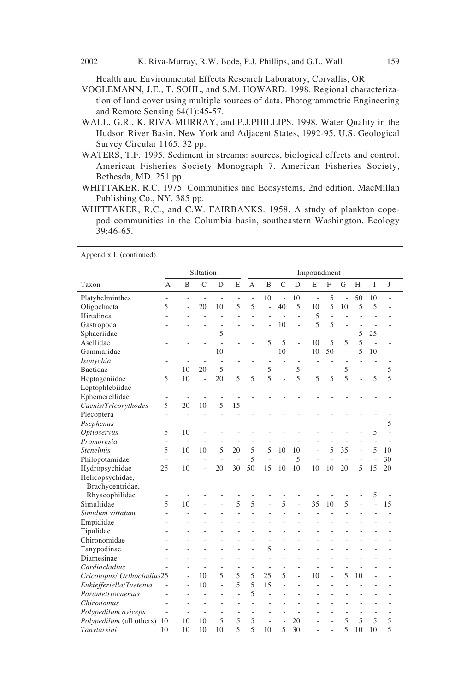Health and Environmental Effects Research Laboratory, Corvallis, OR.

- VOGLEMANN, J.E., T. SOHL, and S.M. HOWARD. 1998. Regional characterization of land cover using multiple sources of data. Photogrammetric Engineering and Remote Sensing 64(1):45-57.
- WALL, G.R., K. RIVA-MURRAY, and P.J.PHILLIPS. 1998. Water Quality in the Hudson River Basin, New York and Adjacent States, 1992-95. U.S. Geological Survey Circular 1165. 32 pp.
- WATERS, T.F. 1995. Sediment in streams: sources, biological effects and control. American Fisheries Society Monograph 7. American Fisheries Society, Bethesda, MD. 251 pp.
- WHITTAKER, R.C. 1975. Communities and Ecosystems, 2nd edition. MacMillan Publishing Co., NY. 385 pp.
- WHITTAKER, R.C., and C.W. FAIRBANKS. 1958. A study of plankton copepod communities in the Columbia basin, southeastern Washington. Ecology 39:46-65.

Appendix I. (continued).

|                             | Siltation |    |               |    |                          |                | Impoundment |               |    |    |    |    |    |    |    |  |
|-----------------------------|-----------|----|---------------|----|--------------------------|----------------|-------------|---------------|----|----|----|----|----|----|----|--|
| Taxon                       | A         | B  | $\mathcal{C}$ | D  | E                        | A              | B           | $\mathcal{C}$ | D  | E  | F  | G  | H  | T  | J  |  |
| Platyhelminthes             | ä,        | ä, | i,            | ä, | ä,                       | ä,             | 10          | Ĭ.            | 10 | ä, | 5  | ä, | 50 | 10 | ä, |  |
| Oligochaeta                 | 5         | i. | 20            | 10 | 5                        | 5              | i,          | 40            | 5  | 10 | 5  | 10 | 5  | 5  |    |  |
| Hirudinea                   |           |    |               |    |                          |                |             |               |    | 5  | ä, |    |    |    |    |  |
| Gastropoda                  |           |    |               |    |                          |                | ä,          | 10            | ä, | 5  | 5  | ä, |    |    |    |  |
| Sphaeriidae                 |           |    | i.            | 5  |                          | i.             | ä,          | ä,            | i. | ä, | ä, | ä, | 5  | 25 |    |  |
| Asellidae                   |           |    | i.            | ä, |                          | i.             | 5           | 5             | ä, | 10 | 5  | 5  | 5  | J. |    |  |
| Gammaridae                  |           | i. | ä,            | 10 |                          | i.             | ä,          | 10            | ä, | 10 | 50 | ä, | 5  | 10 |    |  |
| Isonychia                   |           | i. | i,            | ä, |                          |                | ä,          | ٠             | i, | ä, | ä, | ×, |    | ä, |    |  |
| Baetidae                    |           | 10 | 20            | 5  |                          |                | 5           | J.            | 5  | Ì. |    | 5  |    |    | 5  |  |
| Heptageniidae               | 5         | 10 | L.            | 20 | 5                        | 5              | 5           | i.            | 5  | 5  | 5  | 5  | í, | 5  | 5  |  |
| Leptophlebiidae             | i.        | ä, | í,            | í. | í,                       | ä,             | ä,          |               |    | i, | ä, |    |    | í, |    |  |
| Ephemerellidae              | ٠         | ٠  | ä,            |    | i.                       |                |             |               |    | ÷  |    |    |    |    |    |  |
| Caenis/Tricorythodes        | 5         | 20 | 10            | 5  | 15                       | i.             |             |               |    |    |    |    |    |    |    |  |
| Plecoptera                  | ä,        | ٠  |               | i. |                          |                |             |               |    |    |    |    |    |    |    |  |
| Psephenus                   | L,        |    |               |    |                          |                |             |               |    |    |    |    |    |    | 5  |  |
| <i><b>Optioservus</b></i>   | 5         | 10 |               | i. |                          |                |             |               |    |    |    |    |    | 5  |    |  |
| Promoresia                  | i,        | ä, | ٠             | i. | i.                       | ٠              | ٠           | i.            | ٠  |    | ä, | i. |    | J. |    |  |
| <b>Stenelmis</b>            | 5         | 10 | 10            | 5  | 20                       | 5              | 5           | 10            | 10 | Ĭ. | 5  | 35 | ä, | 5  | 10 |  |
| Philopotamidae              | ٠         | ٠  |               | ×  | J.                       | 5              | i.          |               | 5  | ٠  | J. |    |    | i. | 30 |  |
| Hydropsychidae              | 25        | 10 |               | 20 | 30                       | 50             | 15          | 10            | 10 | 10 | 10 | 20 | 5  | 15 | 20 |  |
| Helicopsychidae,            |           |    |               |    |                          |                |             |               |    |    |    |    |    |    |    |  |
| Brachycentridae,            |           |    |               |    |                          |                |             |               |    |    |    |    |    |    |    |  |
| Rhyacophilidae              |           |    |               |    |                          |                |             |               |    |    |    |    |    | 5  |    |  |
| Simuliidae                  | 5         | 10 |               |    | 5                        | 5              |             | 5             | Ĭ. | 35 | 10 | 5  | í, | L  | 15 |  |
| Simulum vittatum            | J.        |    |               |    |                          | L,             |             | J.            |    |    |    |    |    |    |    |  |
| Empididae                   |           |    |               |    |                          |                |             |               |    |    |    |    |    |    |    |  |
| Tipulidae                   |           |    |               |    |                          |                |             |               |    |    |    |    |    |    |    |  |
| Chironomidae                |           |    |               |    |                          |                | í,          |               |    |    |    |    |    |    |    |  |
| Tanypodinae                 |           |    |               |    |                          |                | 5           |               |    |    |    |    |    |    |    |  |
| Diamesinae                  |           |    |               |    |                          | ۳              | Ì.          |               |    |    |    |    |    |    |    |  |
| Cardiocladius               |           |    | ä,            | i. | i.                       | ٠              | ä,          |               |    | ٠  |    |    |    |    |    |  |
| Cricotopus/ Orthocladius25  |           | í. | 10            | 5  | 5                        | 5              | 25          | 5             |    | 10 | ä, | 5  | 10 |    |    |  |
| Eukiefferiella/Tvetenia     |           | L, | 10            | L. | 5                        | 5              | 15          | ä,            |    | ä, | ä, |    |    |    |    |  |
| Parametriocnemus            |           |    |               | i. | ä,                       | 5              | í,          |               |    |    |    |    |    |    |    |  |
| <i>Chironomus</i>           |           |    |               |    |                          | ä,             |             |               |    |    |    |    |    |    |    |  |
| Polypedilum aviceps         | i.        | i. | ä,            | í. | ä,                       |                |             |               | ä, |    |    |    | J. | ä, |    |  |
| Polypedilum (all others) 10 |           | 10 | 10            | 5  | 5                        | 5              | ä,          | ä,            | 20 |    | L  | 5  | 5  | 5  | 5  |  |
| Tanytarsini                 | 10        | 10 | 10            | 10 | $\overline{\phantom{0}}$ | $\overline{5}$ | 10          | 5             | 30 | ä, | ä, | 5  | 10 | 10 | 5  |  |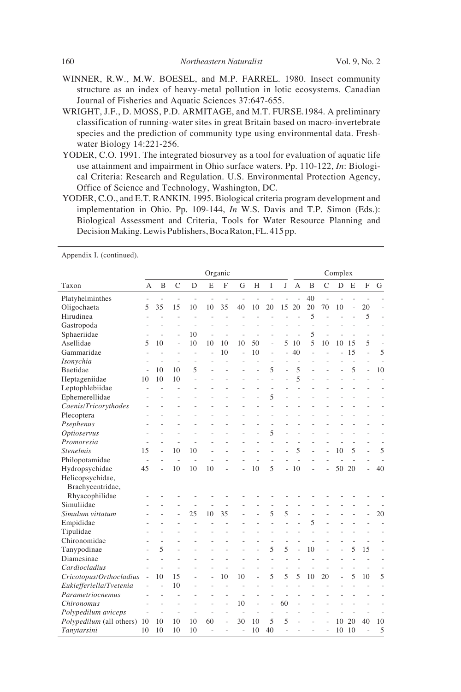- WINNER, R.W., M.W. BOESEL, and M.P. FARREL. 1980. Insect community structure as an index of heavy-metal pollution in lotic ecosystems. Canadian Journal of Fisheries and Aquatic Sciences 37:647-655.
- WRIGHT, J.F., D. MOSS, P.D. ARMITAGE, and M.T. FURSE.1984. A preliminary classification of running-water sites in great Britain based on macro-invertebrate species and the prediction of community type using environmental data. Freshwater Biology 14:221-256.
- YODER, C.O. 1991. The integrated biosurvey as a tool for evaluation of aquatic life use attainment and impairment in Ohio surface waters. Pp. 110-122, *In*: Biological Criteria: Research and Regulation. U.S. Environmental Protection Agency, Office of Science and Technology, Washington, DC.
- YODER, C.O., and E.T. RANKIN. 1995. Biological criteria program development and implementation in Ohio. Pp. 109-144, *In* W.S. Davis and T.P. Simon (Eds.): Biological Assessment and Criteria, Tools for Water Resource Planning and Decision Making. Lewis Publishers, Boca Raton, FL. 415 pp.

Appendix I. (continued).

|                             |    |                |                |    |    | Organic |    |    |    |                |                |    |    | Complex |    |    |    |
|-----------------------------|----|----------------|----------------|----|----|---------|----|----|----|----------------|----------------|----|----|---------|----|----|----|
| Taxon                       | A  | $\overline{B}$ | $\mathcal{C}$  | D  | E  | F       | G  | H  | T  | J              | A              | B  | C  | D       | E  | F  | G  |
| Platyhelminthes             | ä, |                | $\overline{a}$ | ä, | ä, | ä,      |    | ä, |    | $\overline{a}$ | $\overline{a}$ | 40 | Ĭ. | ä,      |    |    |    |
| Oligochaeta                 | 5  | 35             | 15             | 10 | 10 | 35      | 40 | 10 | 20 | 15             | 20             | 20 | 70 | 10      | í. | 20 |    |
| Hirudinea                   | ٠  |                | ä,             | ä, |    | ä,      |    | J. |    |                | ä,             | 5  | Î. | ä,      |    | 5  | J. |
| Gastropoda                  |    |                |                | J. |    |         |    |    |    |                |                | J. |    |         |    | i. |    |
| Sphaeriidae                 |    |                |                | 10 |    |         |    |    |    |                |                | 5  |    |         |    | J. |    |
| Asellidae                   | 5  | 10             | $\overline{a}$ | 10 | 10 | 10      | 10 | 50 |    | 5              | 10             | 5  | 10 | 10      | 15 | 5  |    |
| Gammaridae                  |    | J.             | ä,             | ä, | í. | 10      | Ĭ. | 10 | ä, |                | 40             | J. | Ĭ. | L       | 15 | í, | 5  |
| Isonychia                   |    | ٠              | ä,             | J. |    | J.      |    | J. | J. |                | ä,             |    |    |         | ä, | J. |    |
| Baetidae                    | J. | 10             | 10             | 5  |    |         |    |    | 5  |                | 5              |    |    |         | 5  | Ĭ. | 10 |
| Heptageniidae               | 10 | 10             | 10             | Ì. |    |         |    |    | J. |                | 5              |    |    |         |    | i. |    |
| Leptophlebiidae             |    |                |                |    |    |         |    |    |    |                | i.             |    |    |         |    |    |    |
| Ephemerellidae              |    |                |                |    |    |         |    |    | 5  |                |                |    |    |         |    |    |    |
| Caenis/Tricorythodes        |    |                |                |    |    |         |    |    |    |                |                |    |    |         |    |    | L, |
| Plecoptera                  |    |                |                |    |    |         |    |    |    |                |                |    |    |         |    |    |    |
| Psephenus                   |    |                |                |    |    |         |    |    |    |                |                |    |    |         |    |    |    |
| <b>Optioservus</b>          |    |                |                |    |    |         |    |    | 5  |                |                |    |    |         |    |    |    |
| Promoresia                  | ÷. |                |                |    |    |         |    |    |    |                |                |    |    |         |    |    |    |
| <b>Stenelmis</b>            | 15 |                | 10             | 10 |    |         |    |    |    |                | 5              |    |    | 10      | 5  |    | 5  |
| Philopotamidae              | ÷. |                | ×.             | J. |    |         |    |    | i. |                |                |    |    |         |    |    |    |
| Hydropsychidae              | 45 |                | 10             | 10 | 10 |         |    | 10 | 5  |                | 10             |    |    | 50      | 20 |    | 40 |
| Helicopsychidae,            |    |                |                |    |    |         |    |    |    |                |                |    |    |         |    |    |    |
| Brachycentridae,            |    |                |                |    |    |         |    |    |    |                |                |    |    |         |    |    |    |
| Rhyacophilidae              |    |                |                |    |    |         |    |    |    |                |                |    |    |         |    |    |    |
| Simuliidae                  |    |                |                |    |    |         |    |    | J. |                |                |    |    |         |    |    |    |
| Simulum vittatum            |    |                |                | 25 | 10 | 35      |    |    | 5  | 5              |                |    |    |         |    | ä, | 20 |
| Empididae                   |    |                |                |    |    |         |    |    |    |                |                | 5  |    |         |    |    |    |
| Tipulidae                   |    |                |                |    |    |         |    |    |    |                |                |    |    |         |    |    |    |
| Chironomidae                |    |                |                |    |    |         |    |    | J. | ä,             |                |    |    |         |    |    |    |
| Tanypodinae                 |    | 5              |                |    |    |         |    |    | 5  | 5              |                | 10 |    |         | 5  | 15 |    |
| Diamesinae                  |    |                |                |    |    |         |    |    | J. | i.             |                |    |    |         |    | i. |    |
| Cardiocladius               |    |                |                |    |    |         | J. |    | J. | ä,             |                |    |    |         |    | J. |    |
| Cricotopus/Orthocladius     | ä, | 10             | 15             |    | L. | 10      | 10 | J. | 5  | 5              | 5              | 10 | 20 | i,      | 5  | 10 | 5  |
| Eukiefferiella/Tvetenia     |    | ä,             | 10             |    |    |         |    |    | ä, | L,             |                |    |    |         |    | i, |    |
| Parametriocnemus            |    |                |                |    |    |         |    |    |    |                |                |    |    |         |    |    |    |
| <i>Chironomus</i>           |    |                |                |    |    |         | 10 | ä, | ä, | 60             |                |    |    |         |    |    |    |
| Polypedilum aviceps         | ÷. | ä,             | ä,             | ä, | J. | J.      | ×. | ä, | J. |                |                |    |    |         |    | J. |    |
| Polypedilum (all others) 10 |    | 10             | 10             | 10 | 60 | ä,      | 30 | 10 | 5  | 5              |                |    | J. | 10      | 20 | 40 | 10 |
| Tanytarsini                 | 10 | 10             | 10             | 10 | ä, |         | ä, | 10 | 40 | $\overline{a}$ |                |    | ä, | 10      | 10 | i, | 5  |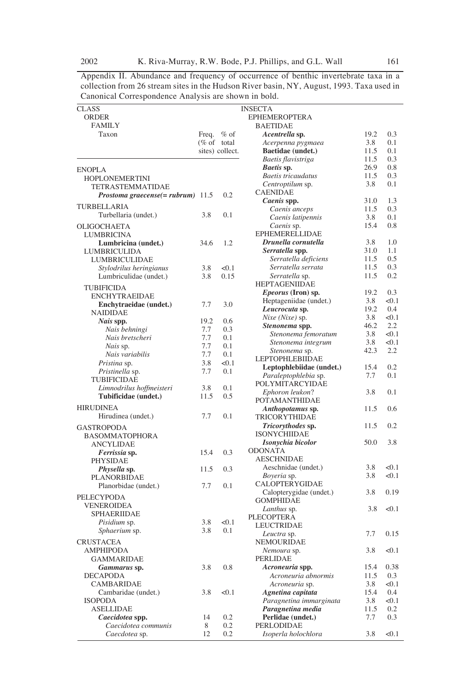DECAPODA CAMBARIDAE

ISOPODA ASELLIDAE

Caecdotea sp.

*Gammarus* **sp.** 3.8 0.8

Cambaridae (undet.) 3.8 < 0.1

*Caecidotea* **spp.** 14 0.2 *Caecidotea communis* 8 0.2

| canomear correspondence rinaryons are shown in bord.<br><b>CLASS</b> |       |                 | <b>INSECTA</b>            |      |       |
|----------------------------------------------------------------------|-------|-----------------|---------------------------|------|-------|
| <b>ORDER</b>                                                         |       |                 | <b>EPHEMEROPTERA</b>      |      |       |
| <b>FAMILY</b>                                                        |       |                 | <b>BAETIDAE</b>           |      |       |
| Taxon                                                                | Freq. | $%$ of          | Acentrella sp.            | 19.2 | 0.3   |
|                                                                      |       | (% of total     | Acerpenna pygmaea         | 3.8  | 0.1   |
|                                                                      |       | sites) collect. | Baetidae (undet.)         | 11.5 | 0.1   |
|                                                                      |       |                 | Baetis flavistriga        | 11.5 | 0.3   |
| <b>ENOPLA</b>                                                        |       |                 | Baetis sp.                | 26.9 | 0.8   |
| <b>HOPLONEMERTINI</b>                                                |       |                 | <b>Baetis</b> tricaudatus | 11.5 | 0.3   |
| <b>TETRASTEMMATIDAE</b>                                              |       |                 | Centroptilum sp.          | 3.8  | 0.1   |
| Prostoma graecense $(= rubrum)$ 11.5                                 |       | 0.2             | <b>CAENIDAE</b>           |      |       |
| TURBELLARIA                                                          |       |                 | Caenis spp.               | 31.0 | 1.3   |
| Turbellaria (undet.)                                                 | 3.8   | 0.1             | Caenis anceps             | 11.5 | 0.3   |
|                                                                      |       |                 | Caenis latipennis         | 3.8  | 0.1   |
| <b>OLIGOCHAETA</b>                                                   |       |                 | Caenis sp.                | 15.4 | 0.8   |
| LUMBRICINA                                                           |       |                 | <b>EPHEMERELLIDAE</b>     |      |       |
| Lumbricina (undet.)                                                  | 34.6  | 1.2             | Drunella cornutella       | 3.8  | 1.0   |
| <b>LUMBRICULIDA</b>                                                  |       |                 | Serratella spp.           | 31.0 | 1.1   |
| <b>LUMBRICULIDAE</b>                                                 |       |                 | Serratella deficiens      | 11.5 | 0.5   |
| Stylodrilus heringianus                                              | 3.8   | < 0.1           | Serratella serrata        | 11.5 | 0.3   |
| Lumbriculidae (undet.)                                               | 3.8   | 0.15            | Serratella sp.            | 11.5 | 0.2   |
| <b>TUBIFICIDA</b>                                                    |       |                 | <b>HEPTAGENIIDAE</b>      |      |       |
| <b>ENCHYTRAEIDAE</b>                                                 |       |                 | <i>Epeorus</i> (Iron) sp. | 19.2 | 0.3   |
| Enchytraeidae (undet.)                                               | 7.7   | 3.0             | Heptageniidae (undet.)    | 3.8  | < 0.1 |
| <b>NAIDIDAE</b>                                                      |       |                 | Leucrocuta sp.            | 19.2 | 0.4   |
| Nais spp.                                                            | 19.2  | 0.6             | Nixe (Nixe) sp.           | 3.8  | < 0.1 |
| Nais behningi                                                        | 7.7   | 0.3             | Stenonema spp.            | 46.2 | 2.2   |
| Nais bretscheri                                                      | 7.7   | 0.1             | Stenonema femoratum       | 3.8  | < 0.1 |
| Nais sp.                                                             | 7.7   | 0.1             | Stenonema integrum        | 3.8  | < 0.1 |
| Nais variabilis                                                      | 7.7   | 0.1             | Stenonema sp.             | 42.3 | 2.2   |
| Pristina sp.                                                         | 3.8   | < 0.1           | <b>LEPTOPHLEBIIDAE</b>    |      |       |
| Pristinella sp.                                                      | 7.7   | 0.1             | Leptophlebiidae (undet.)  | 15.4 | 0.2   |
| <b>TUBIFICIDAE</b>                                                   |       |                 | Paraleptophlebia sp.      | 7.7  | 0.1   |
| Limnodrilus hoffmeisteri                                             | 3.8   | 0.1             | POLYMITARCYIDAE           |      |       |
| Tubificidae (undet.)                                                 | 11.5  | 0.5             | Ephoron leukon?           | 3.8  | 0.1   |
|                                                                      |       |                 | <b>POTAMANTHIDAE</b>      |      |       |
| <b>HIRUDINEA</b>                                                     |       |                 | Anthopotamus sp.          | 11.5 | 0.6   |
| Hirudinea (undet.)                                                   | 7.7   | 0.1             | <b>TRICORYTHIDAE</b>      |      |       |
| <b>GASTROPODA</b>                                                    |       |                 | Tricorythodes sp.         | 11.5 | 0.2   |
| <b>BASOMMATOPHORA</b>                                                |       |                 | <b>ISONYCHIIDAE</b>       |      |       |
| <b>ANCYLIDAE</b>                                                     |       |                 | Isonychia bicolor         | 50.0 | 3.8   |
| Ferrissia sp.                                                        | 15.4  | 0.3             | <b>ODONATA</b>            |      |       |
| <b>PHYSIDAE</b>                                                      |       |                 | <b>AESCHNIDAE</b>         |      |       |
| Physella sp.                                                         | 11.5  | 0.3             | Aeschnidae (undet.)       | 3.8  | < 0.1 |
| PLANORBIDAE                                                          |       |                 | Boyeria sp.               | 3.8  | < 0.1 |
| Planorbidae (undet.)                                                 | 7.7   | 0.1             | <b>CALOPTERYGIDAE</b>     |      |       |
|                                                                      |       |                 | Calopterygidae (undet.)   | 3.8  | 0.19  |
| <b>PELECYPODA</b>                                                    |       |                 | <b>GOMPHIDAE</b>          |      |       |
| <b>VENEROIDEA</b>                                                    |       |                 | Lanthus sp.               | 3.8  | < 0.1 |
| <b>SPHAERIIDAE</b>                                                   |       |                 | <b>PLECOPTERA</b>         |      |       |
| Pisidium sp.                                                         | 3.8   | < 0.1           | <b>LEUCTRIDAE</b>         |      |       |
| Sphaerium sp.                                                        | 3.8   | 0.1             | Leuctra sp.               | 7.7  | 0.15  |
| <b>CRUSTACEA</b>                                                     |       |                 | NEMOURIDAE                |      |       |
| AMPHIPODA                                                            |       |                 | Nemoura sp.               | 3.8  | < 0.1 |
| <b>GAMMARIDAE</b>                                                    |       |                 | <b>PERLIDAE</b>           |      |       |

*Acroneuria* **spp***.* 15.4 0.38 *Acroneuria abnormis* 11.5 0.3<br>*Acroneuria* sp. 3.8 <0.1 *Acroneuria* sp. 3.8 <0.1<br> **gnetina capitata** 15.4 0.4 *Agnetina capitata* 15.4 0.4<br>*Paragnetina immarginata* 3.8 <0.1 *Paragnetina immarginata* 3.8 <0.1<br>*Paragnetina media* 11.5 0.2 *Paragnetina media* 11.5 0.2<br>**Perlidae (undet.)** 7.7 0.3

*Isoperla holochlora* 3.8 <0.1

Perlidae (undet.) PERLODIDAE

Appendix II. Abundance and frequency of occurrence of benthic invertebrate taxa in a collection from 26 stream sites in the Hudson River basin, NY, August, 1993. Taxa used in Canonical Correspondence Analysis are shown in bold.